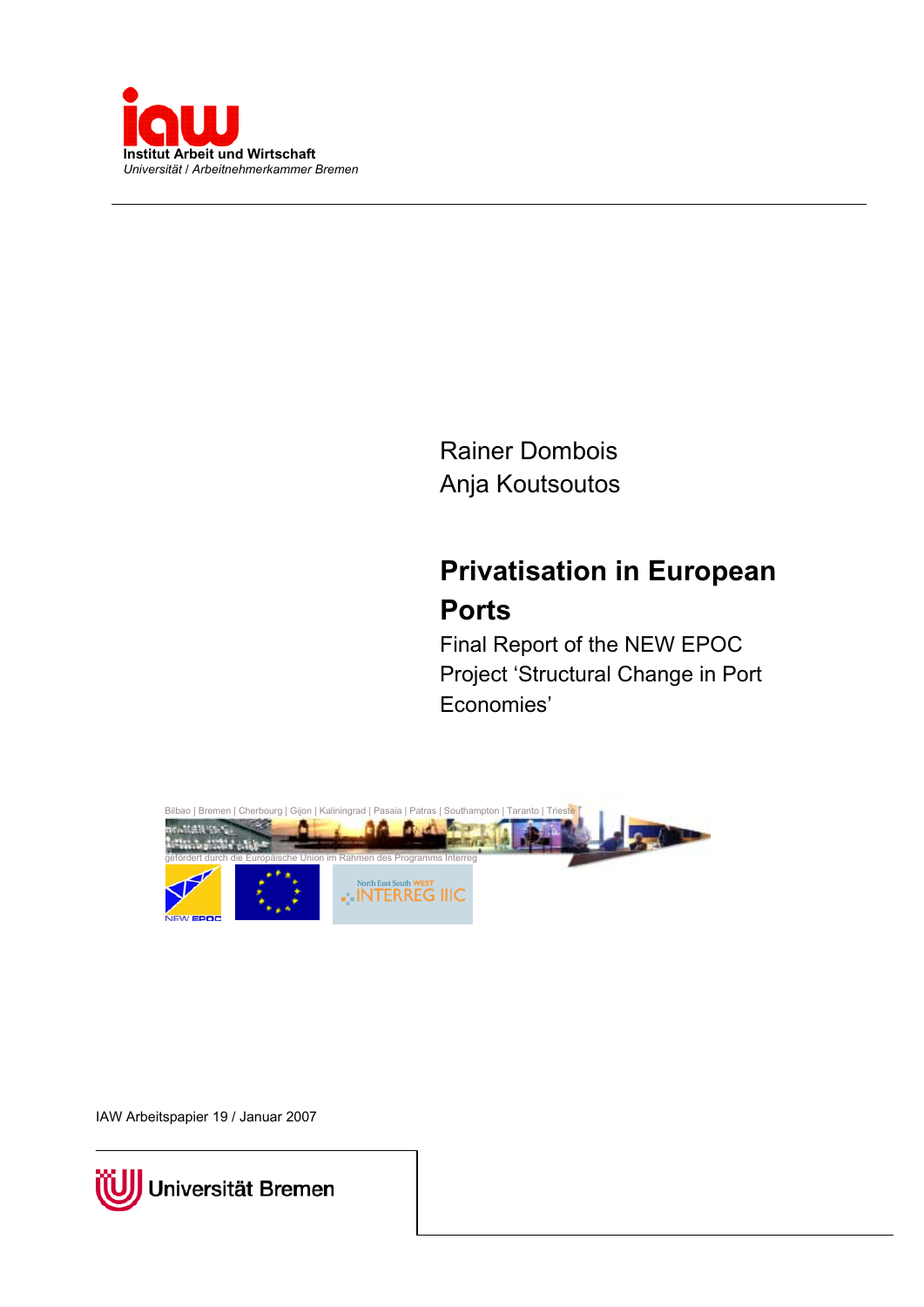

Rainer Dombois Anja Koutsoutos

# **Privatisation in European Ports**

Final Report of the NEW EPOC Project 'Structural Change in Port Economies'



IAW Arbeitspapier 19 / Januar 2007

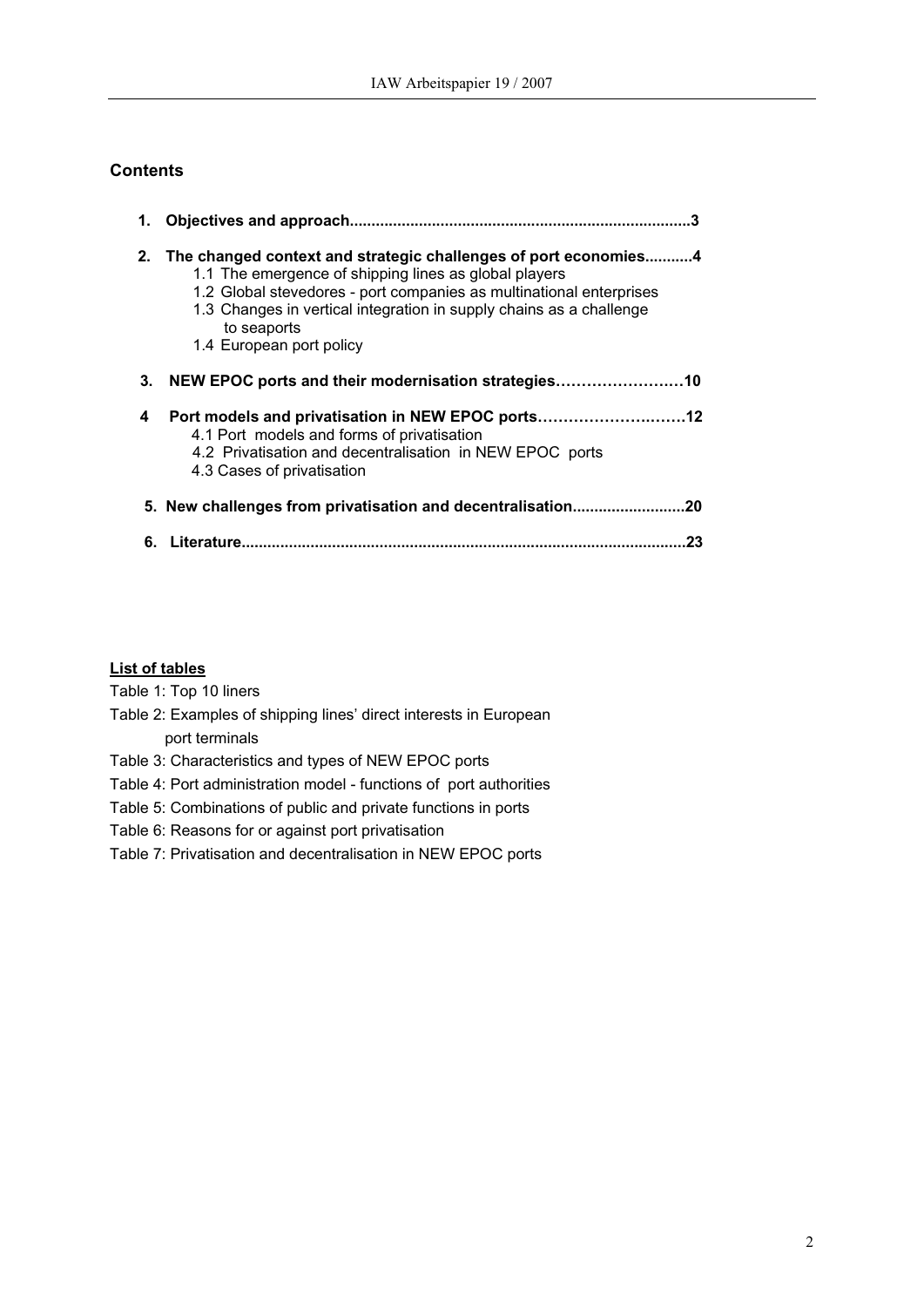### **Contents**

| 1. |                                                                                                                                                                                                                                                                                                                   |  |
|----|-------------------------------------------------------------------------------------------------------------------------------------------------------------------------------------------------------------------------------------------------------------------------------------------------------------------|--|
| 2. | The changed context and strategic challenges of port economies4<br>1.1 The emergence of shipping lines as global players<br>1.2 Global stevedores - port companies as multinational enterprises<br>1.3 Changes in vertical integration in supply chains as a challenge<br>to seaports<br>1.4 European port policy |  |
| 3. | NEW EPOC ports and their modernisation strategies10                                                                                                                                                                                                                                                               |  |
| 4  | Port models and privatisation in NEW EPOC ports12<br>4.1 Port models and forms of privatisation<br>4.2 Privatisation and decentralisation in NEW EPOC ports<br>4.3 Cases of privatisation                                                                                                                         |  |
|    | 5. New challenges from privatisation and decentralisation<br>20                                                                                                                                                                                                                                                   |  |
| 6. | Literature<br>23                                                                                                                                                                                                                                                                                                  |  |

### **List of tables**

Table 1: Top 10 liners

- Table 2: Examples of shipping lines' direct interests in European port terminals
- Table 3: Characteristics and types of NEW EPOC ports
- Table 4: Port administration model functions of port authorities
- Table 5: Combinations of public and private functions in ports
- Table 6: Reasons for or against port privatisation
- Table 7: Privatisation and decentralisation in NEW EPOC ports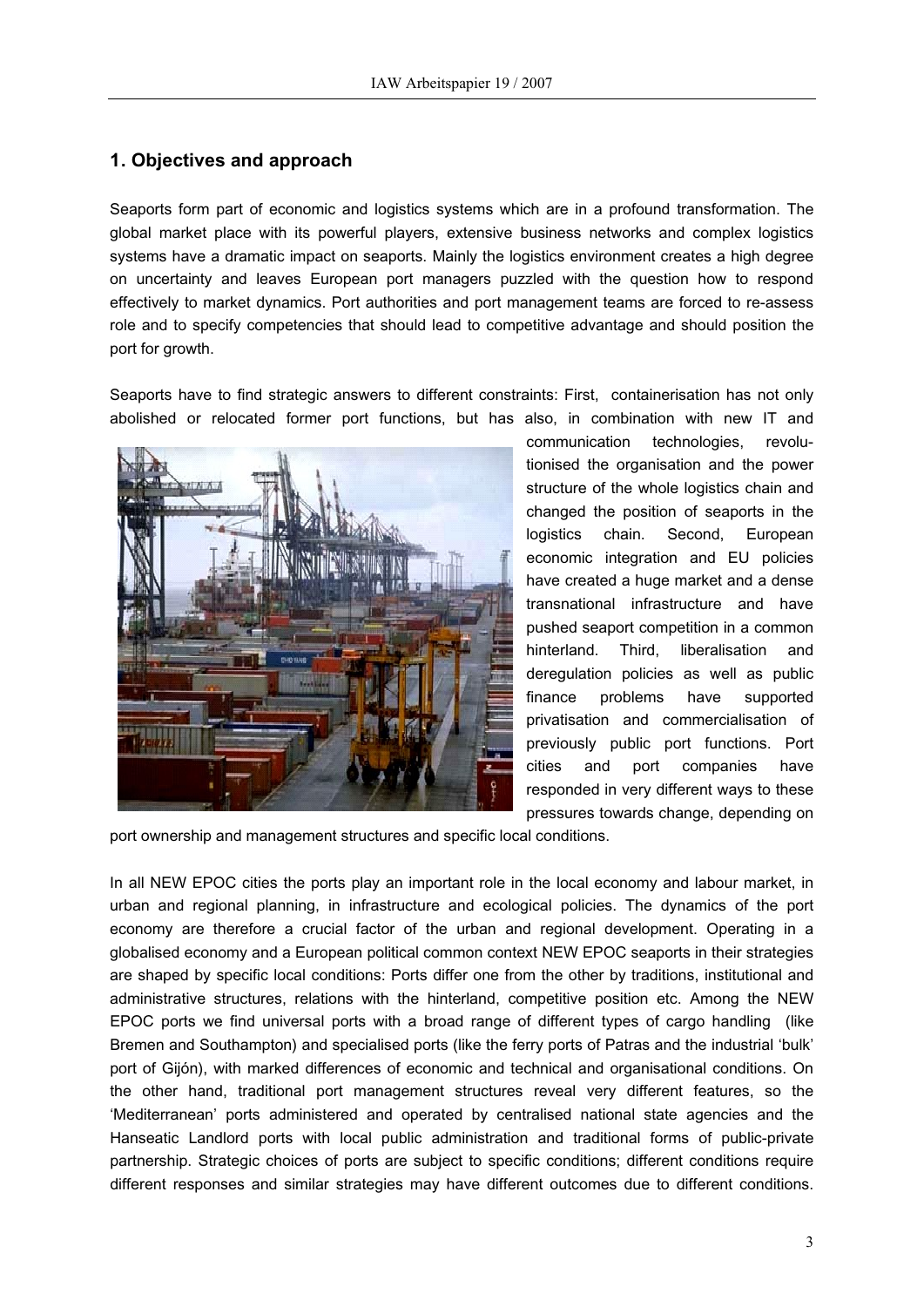### **1 . Objectives and approach**

Seaports form part of economic and logistics systems which are in a profound transformation. The global market place with its powerful players, extensive business networks and complex logistics systems have a dramatic impact on seaports. Mainly the logistics environment creates a high degree on uncertainty and leaves European port managers puzzled with the question how to respond effectively to market dynamics. Port authorities and port management teams are forced to re-assess role and to specify competencies that should lead to competitive advantage and should position the port for growth.

Seaports have to find strategic answers to different constraints: First, containerisation has not only abolished or relocated former port functions, but has also, in combination with new IT and



communication technologies, revolutionised the organisation and the power structure of the whole logistics chain and changed the position of seaports in the logistics chain. Second, European economic integration and EU policies have created a huge market and a dense transnational infrastructure and have pushed seaport competition in a common hinterland. Third, liberalisation and deregulation policies as well as public finance problems have supported privatisation and commercialisation of previously public port functions. Port cities and port companies have responded in very different ways to these pressures towards change, depending on

port ownership and management structures and specific local conditions.

In all NEW EPOC cities the ports play an important role in the local economy and labour market, in urban and regional planning, in infrastructure and ecological policies. The dynamics of the port economy are therefore a crucial factor of the urban and regional development. Operating in a globalised economy and a European political common context NEW EPOC seaports in their strategies are shaped by specific local conditions: Ports differ one from the other by traditions, institutional and administrative structures, relations with the hinterland, competitive position etc. Among the NEW EPOC ports we find universal ports with a broad range of different types of cargo handling (like Bremen and Southampton) and specialised ports (like the ferry ports of Patras and the industrial 'bulk' port of Gijón), with marked differences of economic and technical and organisational conditions. On the other hand, traditional port management structures reveal very different features, so the 'Mediterranean' ports administered and operated by centralised national state agencies and the Hanseatic Landlord ports with local public administration and traditional forms of public-private partnership. Strategic choices of ports are subject to specific conditions; different conditions require different responses and similar strategies may have different outcomes due to different conditions.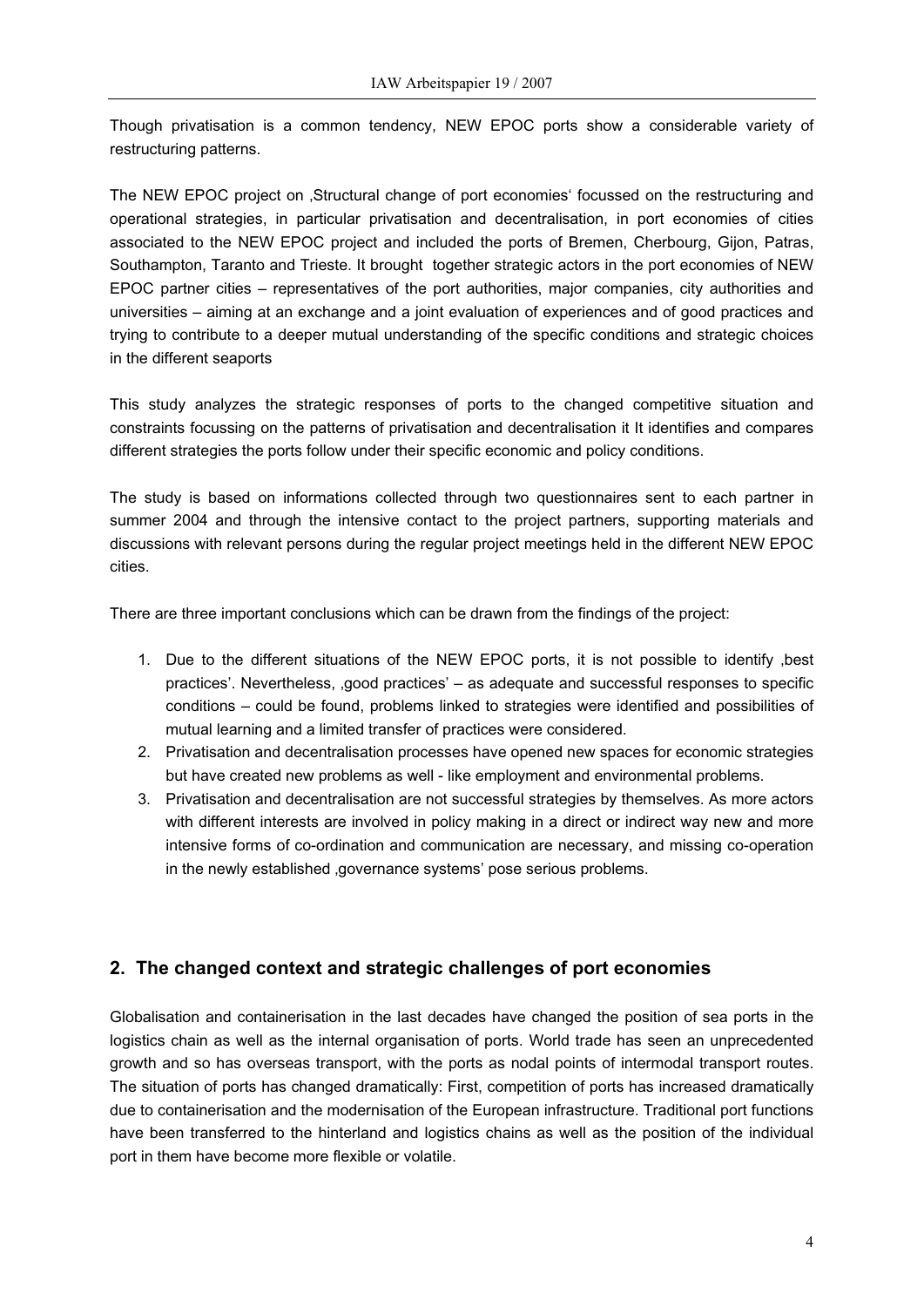Though privatisation is a common tendency, NEW EPOC ports show a considerable variety of restructuring patterns.

The NEW EPOC project on 'Structural change of port economies' focussed on the restructuring and operational strategies, in particular privatisation and decentralisation, in port economies of cities associated to the NEW EPOC project and included the ports of Bremen, Cherbourg, Gijon, Patras, Southampton, Taranto and Trieste. It brought together strategic actors in the port economies of NEW EPOC partner cities – representatives of the port authorities, major companies, city authorities and universities – aiming at an exchange and a joint evaluation of experiences and of good practices and trying to contribute to a deeper mutual understanding of the specific conditions and strategic choices in the different seaports

This study analyzes the strategic responses of ports to the changed competitive situation and constraints focussing on the patterns of privatisation and decentralisation it It identifies and compares different strategies the ports follow under their specific economic and policy conditions.

The study is based on informations collected through two questionnaires sent to each partner in summer 2004 and through the intensive contact to the project partners, supporting materials and discussions with relevant persons during the regular project meetings held in the different NEW EPOC cities.

There are three important conclusions which can be drawn from the findings of the project:

- 1. Due to the different situations of the NEW EPOC ports, it is not possible to identify 'best practices'. Nevertheless, 'good practices' – as adequate and successful responses to specific conditions – could be found, problems linked to strategies were identified and possibilities of mutual learning and a limited transfer of practices were considered.
- 2. Privatisation and decentralisation processes have opened new spaces for economic strategies but have created new problems as well - like employment and environmental problems.
- 3. Privatisation and decentralisation are not successful strategies by themselves. As more actors with different interests are involved in policy making in a direct or indirect way new and more intensive forms of co-ordination and communication are necessary, and missing co-operation in the newly established , governance systems' pose serious problems.

### **2. The changed context and strategic challenges of port economies**

Globalisation and containerisation in the last decades have changed the position of sea ports in the logistics chain as well as the internal organisation of ports. World trade has seen an unprecedented growth and so has overseas transport, with the ports as nodal points of intermodal transport routes. The situation of ports has changed dramatically: First, competition of ports has increased dramatically due to containerisation and the modernisation of the European infrastructure. Traditional port functions have been transferred to the hinterland and logistics chains as well as the position of the individual port in them have become more flexible or volatile.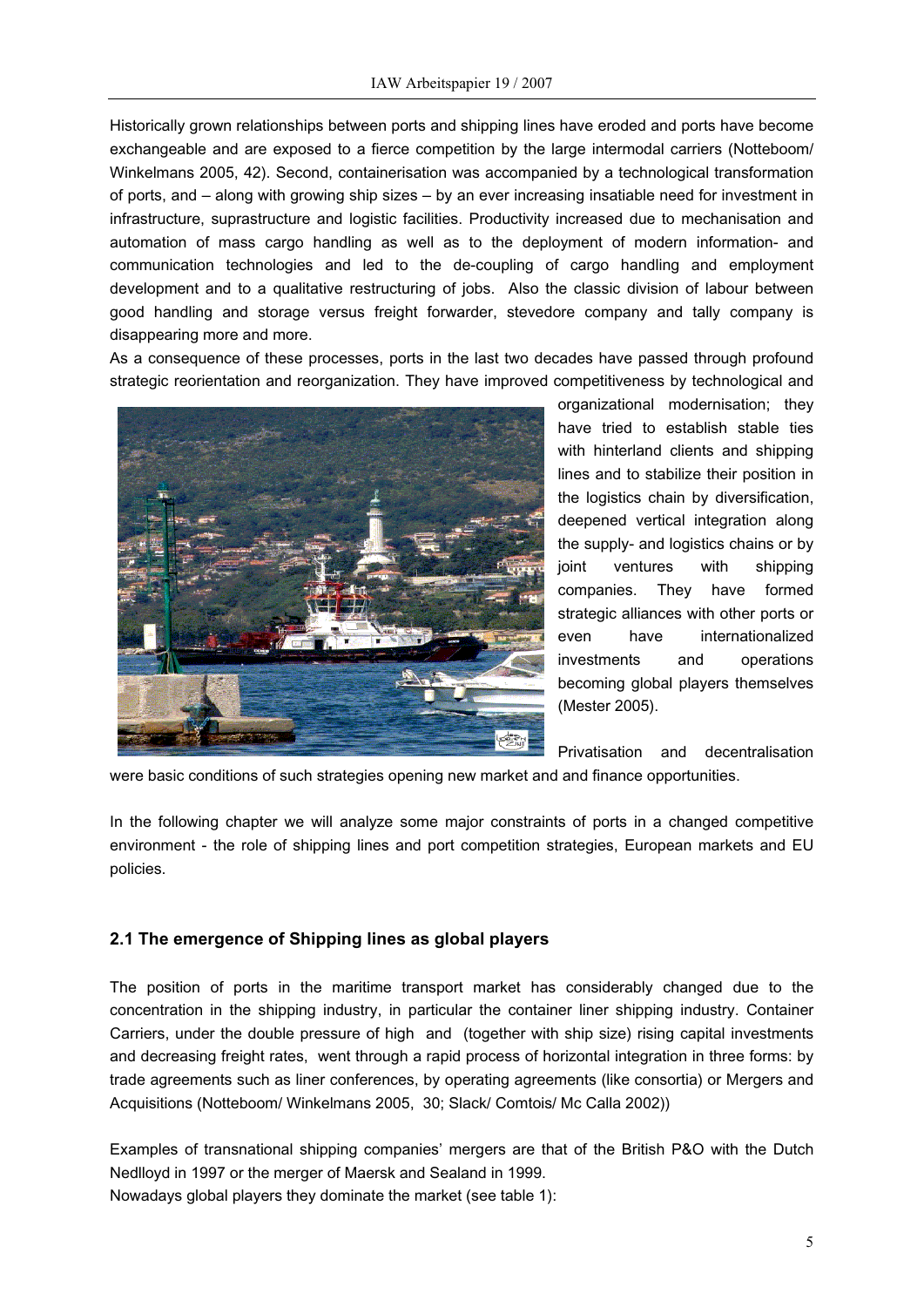Historically grown relationships between ports and shipping lines have eroded and ports have become exchangeable and are exposed to a fierce competition by the large intermodal carriers (Notteboom/ Winkelmans 2005, 42). Second, containerisation was accompanied by a technological transformation of ports, and – along with growing ship sizes – by an ever increasing insatiable need for investment in infrastructure, suprastructure and logistic facilities. Productivity increased due to mechanisation and automation of mass cargo handling as well as to the deployment of modern information- and communication technologies and led to the de-coupling of cargo handling and employment development and to a qualitative restructuring of jobs. Also the classic division of labour between good handling and storage versus freight forwarder, stevedore company and tally company is disappearing more and more.

As a consequence of these processes, ports in the last two decades have passed through profound strategic reorientation and reorganization. They have improved competitiveness by technological and



organizational modernisation; they have tried to establish stable ties with hinterland clients and shipping lines and to stabilize their position in the logistics chain by diversification, deepened vertical integration along the supply- and logistics chains or by joint ventures with shipping companies. They have formed strategic alliances with other ports or even have internationalized investments and operations becoming global players themselves (Mester 2005).

Privatisation and decentralisation

were basic conditions of such strategies opening new market and and finance opportunities.

In the following chapter we will analyze some major constraints of ports in a changed competitive environment - the role of shipping lines and port competition strategies, European markets and EU policies.

### **2.1 The emergence of Shipping lines as global players**

The position of ports in the maritime transport market has considerably changed due to the concentration in the shipping industry, in particular the container liner shipping industry. Container Carriers, under the double pressure of high and (together with ship size) rising capital investments and decreasing freight rates, went through a rapid process of horizontal integration in three forms: by trade agreements such as liner conferences, by operating agreements (like consortia) or Mergers and Acquisitions (Notteboom/ Winkelmans 2005, 30; Slack/ Comtois/ Mc Calla 2002))

Examples of transnational shipping companies' mergers are that of the British P&O with the Dutch Nedlloyd in 1997 or the merger of Maersk and Sealand in 1999. Nowadays global players they dominate the market (see table 1):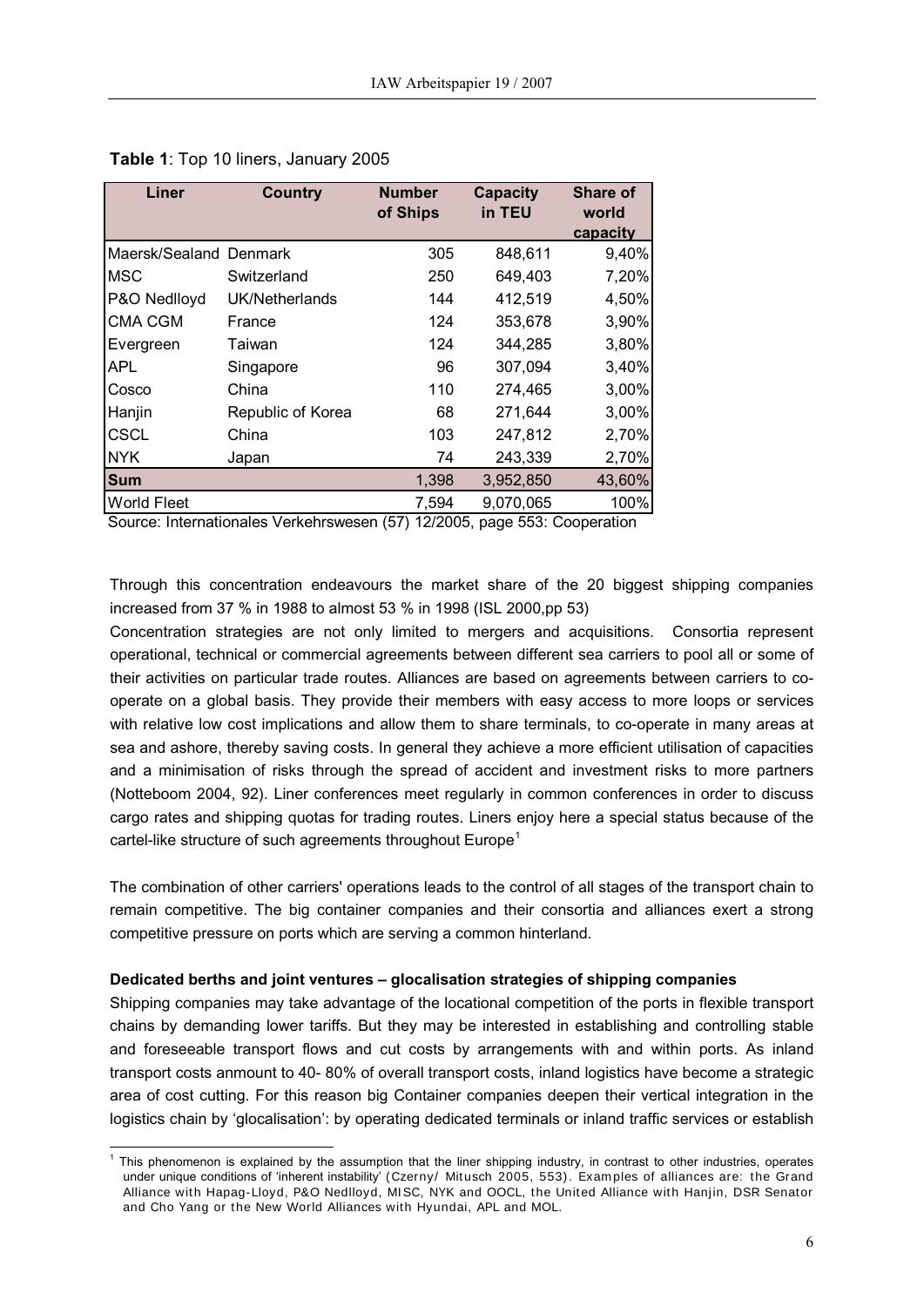| Liner                  | <b>Country</b>    | <b>Number</b><br>of Ships | <b>Capacity</b><br>in TEU | Share of<br>world<br>capacity |
|------------------------|-------------------|---------------------------|---------------------------|-------------------------------|
| Maersk/Sealand Denmark |                   | 305                       | 848,611                   | 9,40%                         |
| <b>MSC</b>             | Switzerland       | 250                       | 649,403                   | 7,20%                         |
| P&O Nedlloyd           | UK/Netherlands    | 144                       | 412,519                   | 4,50%                         |
| <b>CMA CGM</b>         | France            | 124                       | 353,678                   | 3,90%                         |
| Evergreen              | Taiwan            | 124                       | 344,285                   | 3,80%                         |
| <b>APL</b>             | Singapore         | 96                        | 307,094                   | 3,40%                         |
| Cosco                  | China             | 110                       | 274,465                   | 3,00%                         |
| Hanjin                 | Republic of Korea | 68                        | 271,644                   | 3,00%                         |
| <b>CSCL</b>            | China             | 103                       | 247,812                   | 2,70%                         |
| <b>NYK</b>             | Japan             | 74                        | 243,339                   | 2,70%                         |
| <b>Sum</b>             |                   | 1,398                     | 3,952,850                 | 43,60%                        |
| <b>World Fleet</b>     |                   | 7,594                     | 9,070,065                 | 100%                          |

|  |  | Table 1: Top 10 liners, January 2005 |  |  |
|--|--|--------------------------------------|--|--|
|--|--|--------------------------------------|--|--|

Source: Internationales Verkehrswesen (57) 12/2005, page 553: Cooperation

Through this concentration endeavours the market share of the 20 biggest shipping companies increased from 37 % in 1988 to almost 53 % in 1998 (ISL 2000,pp 53)

Concentration strategies are not only limited to mergers and acquisitions. Consortia represent operational, technical or commercial agreements between different sea carriers to pool all or some of their activities on particular trade routes. Alliances are based on agreements between carriers to cooperate on a global basis. They provide their members with easy access to more loops or services with relative low cost implications and allow them to share terminals, to co-operate in many areas at sea and ashore, thereby saving costs. In general they achieve a more efficient utilisation of capacities and a minimisation of risks through the spread of accident and investment risks to more partners (Notteboom 2004, 92). Liner conferences meet regularly in common conferences in order to discuss cargo rates and shipping quotas for trading routes. Liners enjoy here a special status because of the cartel-like structure of such agreements throughout  $Europe<sup>1</sup>$  $Europe<sup>1</sup>$  $Europe<sup>1</sup>$ 

The combination of other carriers' operations leads to the control of all stages of the transport chain to remain competitive. The big container companies and their consortia and alliances exert a strong competitive pressure on ports which are serving a common hinterland.

#### **Dedicated berths and joint ventures – glocalisation strategies of shipping companies**

Shipping companies may take advantage of the locational competition of the ports in flexible transport chains by demanding lower tariffs. But they may be interested in establishing and controlling stable and foreseeable transport flows and cut costs by arrangements with and within ports. As inland transport costs anmount to 40- 80% of overall transport costs, inland logistics have become a strategic area of cost cutting. For this reason big Container companies deepen their vertical integration in the logistics chain by 'glocalisation': by operating dedicated terminals or inland traffic services or establish

<span id="page-5-0"></span> 1 This phenomenon is explained by the assumption that the liner shipping industry, in contrast to other industries, operates under unique conditions of 'inherent instability' (Czerny/ Mitusch 2005, 553). Examples of alliances are: the Grand Alliance with Hapag-Lloyd, P&O Nedlloyd, MISC, NYK and OOCL, the United Alliance with Hanjin, DSR Senator and Cho Yang or the New World Alliances with Hyundai, APL and MOL.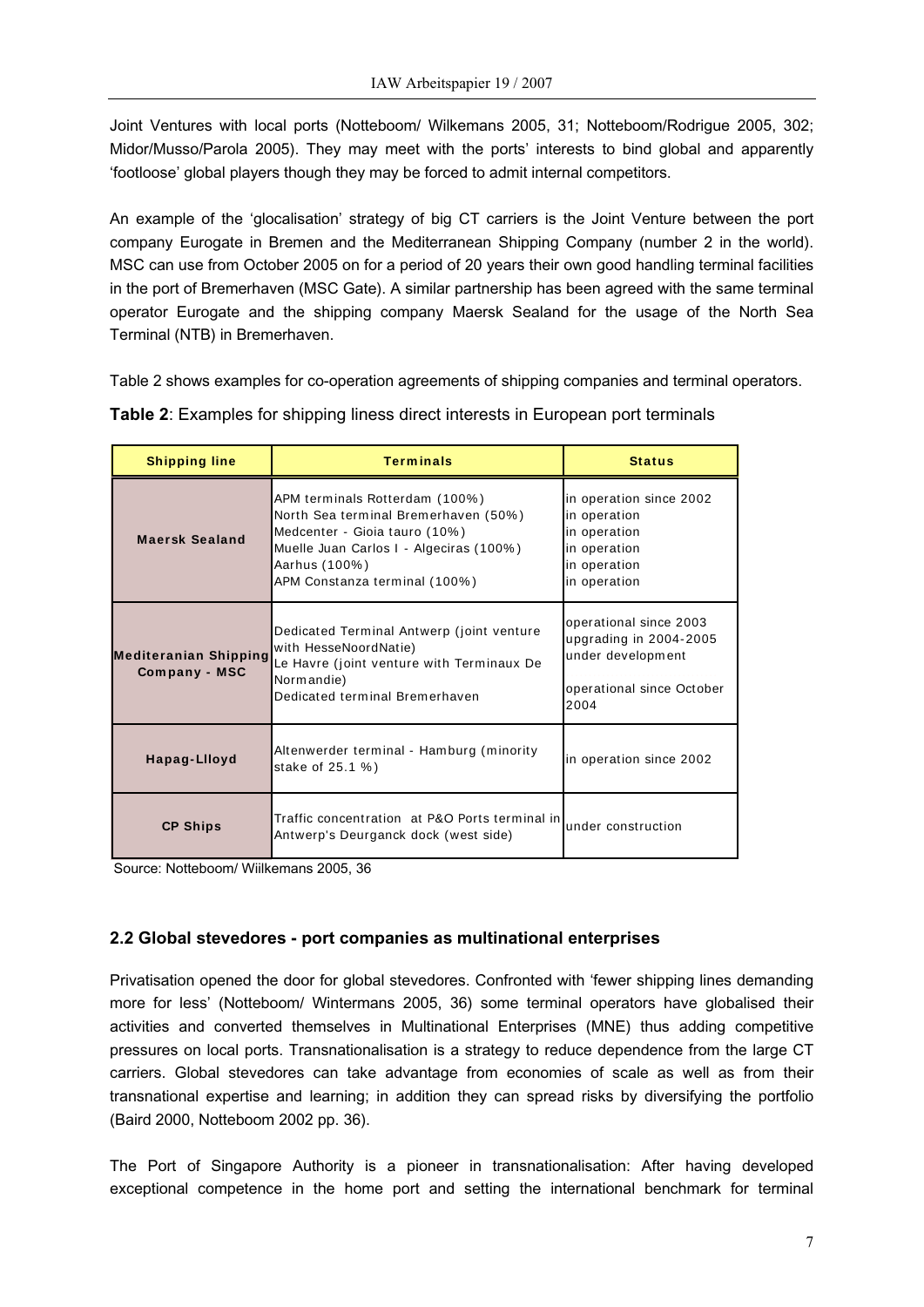Joint Ventures with local ports (Notteboom/ Wilkemans 2005, 31; Notteboom/Rodrigue 2005, 302; Midor/Musso/Parola 2005). They may meet with the ports' interests to bind global and apparently 'footloose' global players though they may be forced to admit internal competitors.

An example of the 'glocalisation' strategy of big CT carriers is the Joint Venture between the port company Eurogate in Bremen and the Mediterranean Shipping Company (number 2 in the world). MSC can use from October 2005 on for a period of 20 years their own good handling terminal facilities in the port of Bremerhaven (MSC Gate). A similar partnership has been agreed with the same terminal operator Eurogate and the shipping company Maersk Sealand for the usage of the North Sea Terminal (NTB) in Bremerhaven.

Table 2 shows examples for co-operation agreements of shipping companies and terminal operators.

| <b>Shipping line</b>                          | <b>Terminals</b>                                                                                                                                                                                     | <b>Status</b>                                                                                              |
|-----------------------------------------------|------------------------------------------------------------------------------------------------------------------------------------------------------------------------------------------------------|------------------------------------------------------------------------------------------------------------|
| <b>Maersk Sealand</b>                         | APM terminals Rotterdam (100%)<br>North Sea terminal Bremerhaven (50%)<br>Medcenter - Gioia tauro (10%)<br>Muelle Juan Carlos I - Algeciras (100%)<br>Aarhus (100%)<br>APM Constanza terminal (100%) | in operation since 2002<br>in operation<br>in operation<br>in operation<br>in operation<br>in operation    |
| <b>Mediteranian Shipping</b><br>Company - MSC | Dedicated Terminal Antwerp (joint venture<br>with HesseNoordNatie)<br>Le Havre (joint venture with Terminaux De<br>Normandie)<br>Dedicated terminal Bremerhaven                                      | operational since 2003<br>upgrading in 2004-2005<br>under development<br>operational since October<br>2004 |
| Hapag-Llloyd                                  | Altenwerder terminal - Hamburg (minority<br>stake of 25.1 %)                                                                                                                                         | in operation since 2002                                                                                    |
| <b>CP Ships</b>                               | Traffic concentration at P&O Ports terminal in<br>Antwerp's Deurganck dock (west side)                                                                                                               | under construction                                                                                         |

**Table 2**: Examples for shipping liness direct interests in European port terminals

Source: Notteboom/ Wiilkemans 2005, 36

### **2.2 Global stevedores - port companies as multinational enterprises**

Privatisation opened the door for global stevedores. Confronted with 'fewer shipping lines demanding more for less' (Notteboom/ Wintermans 2005, 36) some terminal operators have globalised their activities and converted themselves in Multinational Enterprises (MNE) thus adding competitive pressures on local ports. Transnationalisation is a strategy to reduce dependence from the large CT carriers. Global stevedores can take advantage from economies of scale as well as from their transnational expertise and learning; in addition they can spread risks by diversifying the portfolio (Baird 2000, Notteboom 2002 pp. 36).

The Port of Singapore Authority is a pioneer in transnationalisation: After having developed exceptional competence in the home port and setting the international benchmark for terminal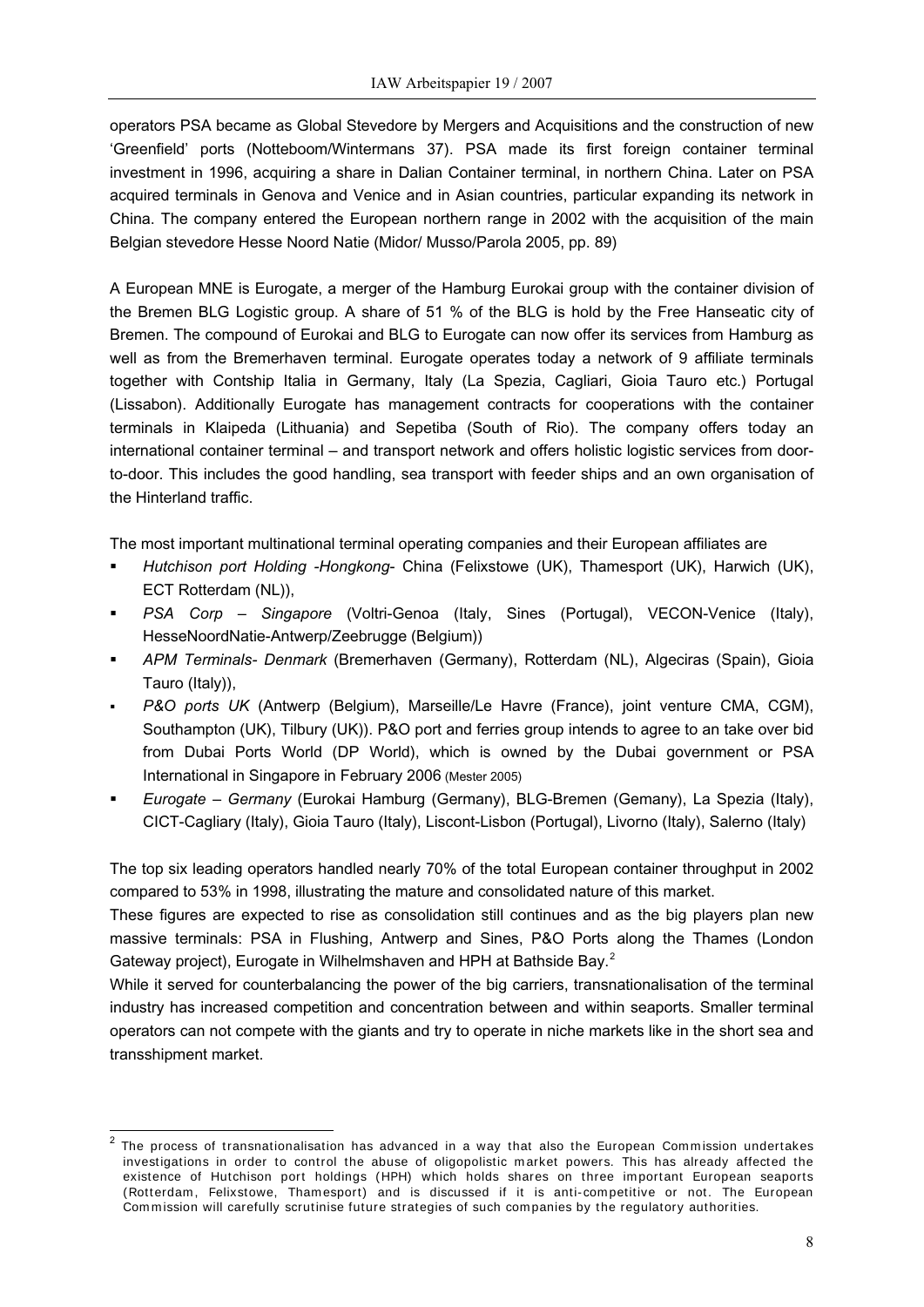operators PSA became as Global Stevedore by Mergers and Acquisitions and the construction of new 'Greenfield' ports (Notteboom/Wintermans 37). PSA made its first foreign container terminal investment in 1996, acquiring a share in Dalian Container terminal, in northern China. Later on PSA acquired terminals in Genova and Venice and in Asian countries, particular expanding its network in China. The company entered the European northern range in 2002 with the acquisition of the main Belgian stevedore Hesse Noord Natie (Midor/ Musso/Parola 2005, pp. 89)

A European MNE is Eurogate, a merger of the Hamburg Eurokai group with the container division of the Bremen BLG Logistic group. A share of 51 % of the BLG is hold by the Free Hanseatic city of Bremen. The compound of Eurokai and BLG to Eurogate can now offer its services from Hamburg as well as from the Bremerhaven terminal. Eurogate operates today a network of 9 affiliate terminals together with Contship Italia in Germany, Italy (La Spezia, Cagliari, Gioia Tauro etc.) Portugal (Lissabon). Additionally Eurogate has management contracts for cooperations with the container terminals in Klaipeda (Lithuania) and Sepetiba (South of Rio). The company offers today an international container terminal – and transport network and offers holistic logistic services from doorto-door. This includes the good handling, sea transport with feeder ships and an own organisation of the Hinterland traffic.

The most important multinational terminal operating companies and their European affiliates are

- *Hutchison port Holding -Hongkong* China (Felixstowe (UK), Thamesport (UK), Harwich (UK), ECT Rotterdam (NL)),
- *PSA Corp Singapore* (Voltri-Genoa (Italy, Sines (Portugal), VECON-Venice (Italy), HesseNoordNatie-Antwerp/Zeebrugge (Belgium))
- *APM Terminals- Denmark* (Bremerhaven (Germany), Rotterdam (NL), Algeciras (Spain), Gioia Tauro (Italy)),
- *P&O ports UK* (Antwerp (Belgium), Marseille/Le Havre (France), joint venture CMA, CGM), Southampton (UK), Tilbury (UK)). P&O port and ferries group intends to agree to an take over bid from Dubai Ports World (DP World), which is owned by the Dubai government or PSA International in Singapore in February 2006 (Mester 2005)
- *Eurogate Germany* (Eurokai Hamburg (Germany), BLG-Bremen (Gemany), La Spezia (Italy), CICT-Cagliary (Italy), Gioia Tauro (Italy), Liscont-Lisbon (Portugal), Livorno (Italy), Salerno (Italy)

The top six leading operators handled nearly 70% of the total European container throughput in 2002 compared to 53% in 1998, illustrating the mature and consolidated nature of this market.

These figures are expected to rise as consolidation still continues and as the big players plan new massive terminals: PSA in Flushing, Antwerp and Sines, P&O Ports along the Thames (London Gateway project), Eurogate in Wilhelmshaven and HPH at Bathside Bay.<sup>[2](#page-7-0)</sup>

While it served for counterbalancing the power of the big carriers, transnationalisation of the terminal industry has increased competition and concentration between and within seaports. Smaller terminal operators can not compete with the giants and try to operate in niche markets like in the short sea and transshipment market.

 $\overline{\phantom{a}}$ 

<span id="page-7-0"></span><sup>2</sup> The process of transnationalisation has advanced in a way that also the European Commission undertakes investigations in order to control the abuse of oligopolistic market powers. This has already affected the existence of Hutchison port holdings (HPH) which holds shares on three important European seaports (Rotterdam, Felixstowe, Thamesport) and is discussed if it is anti-competitive or not. The European Commission will carefully scrutinise future strategies of such companies by the regulatory authorities.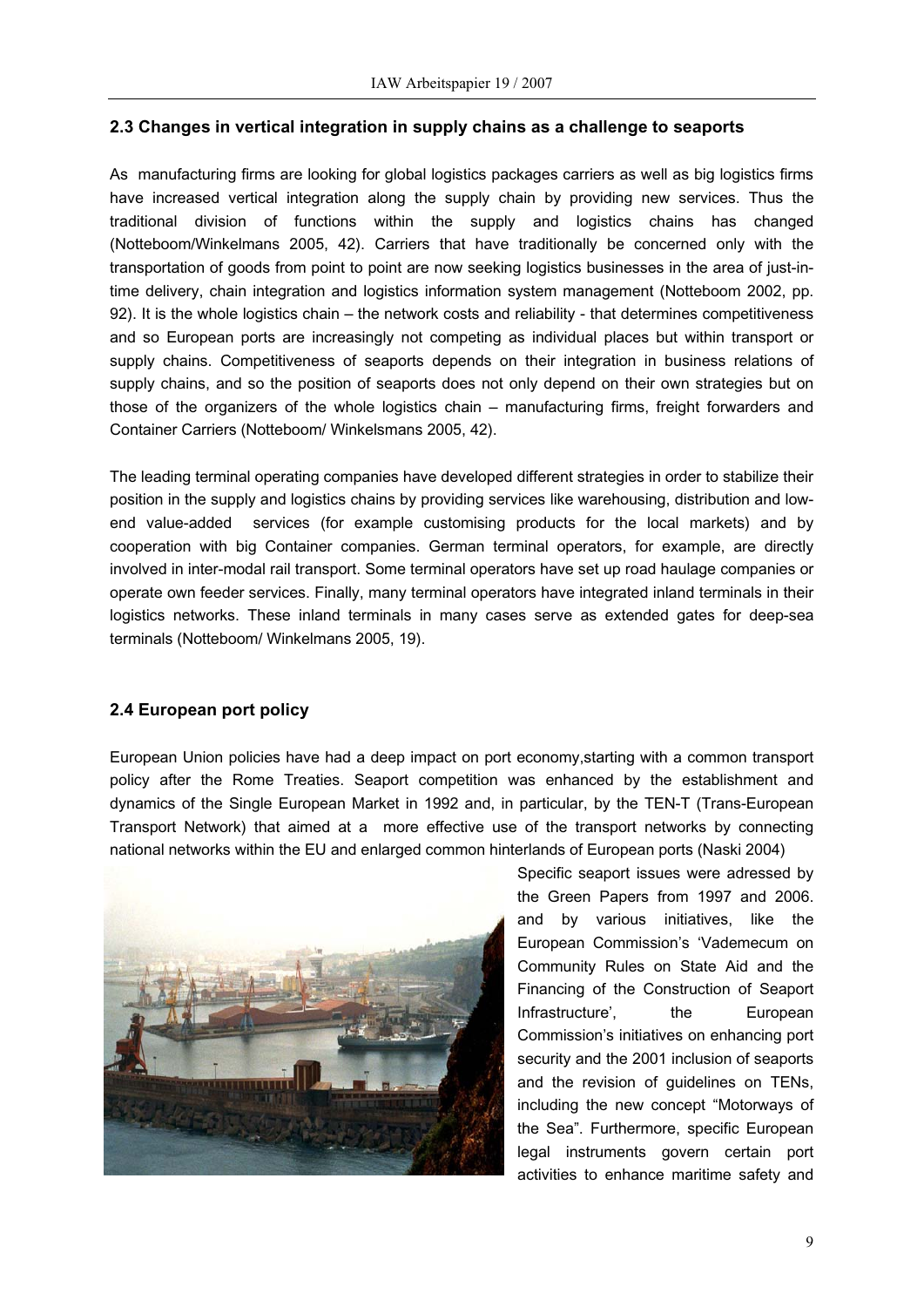### **2.3 Changes in vertical integration in supply chains as a challenge to seaports**

As manufacturing firms are looking for global logistics packages carriers as well as big logistics firms have increased vertical integration along the supply chain by providing new services. Thus the traditional division of functions within the supply and logistics chains has changed (Notteboom/Winkelmans 2005, 42). Carriers that have traditionally be concerned only with the transportation of goods from point to point are now seeking logistics businesses in the area of just-intime delivery, chain integration and logistics information system management (Notteboom 2002, pp. 92). It is the whole logistics chain – the network costs and reliability - that determines competitiveness and so European ports are increasingly not competing as individual places but within transport or supply chains. Competitiveness of seaports depends on their integration in business relations of supply chains, and so the position of seaports does not only depend on their own strategies but on those of the organizers of the whole logistics chain – manufacturing firms, freight forwarders and Container Carriers (Notteboom/ Winkelsmans 2005, 42).

The leading terminal operating companies have developed different strategies in order to stabilize their position in the supply and logistics chains by providing services like warehousing, distribution and lowend value-added services (for example customising products for the local markets) and by cooperation with big Container companies. German terminal operators, for example, are directly involved in inter-modal rail transport. Some terminal operators have set up road haulage companies or operate own feeder services. Finally, many terminal operators have integrated inland terminals in their logistics networks. These inland terminals in many cases serve as extended gates for deep-sea terminals (Notteboom/ Winkelmans 2005, 19).

### **2.4 European port policy**

European Union policies have had a deep impact on port economy,starting with a common transport policy after the Rome Treaties. Seaport competition was enhanced by the establishment and dynamics of the Single European Market in 1992 and, in particular, by the TEN-T (Trans-European Transport Network) that aimed at a more effective use of the transport networks by connecting national networks within the EU and enlarged common hinterlands of European ports (Naski 2004)



Specific seaport issues were adressed by the Green Papers from 1997 and 2006. and by various initiatives, like the European Commission's 'Vademecum on Community Rules on State Aid and the Financing of the Construction of Seaport Infrastructure', the European Commission's initiatives on enhancing port security and the 2001 inclusion of seaports and the revision of guidelines on TENs, including the new concept "Motorways of the Sea". Furthermore, specific European legal instruments govern certain port activities to enhance maritime safety and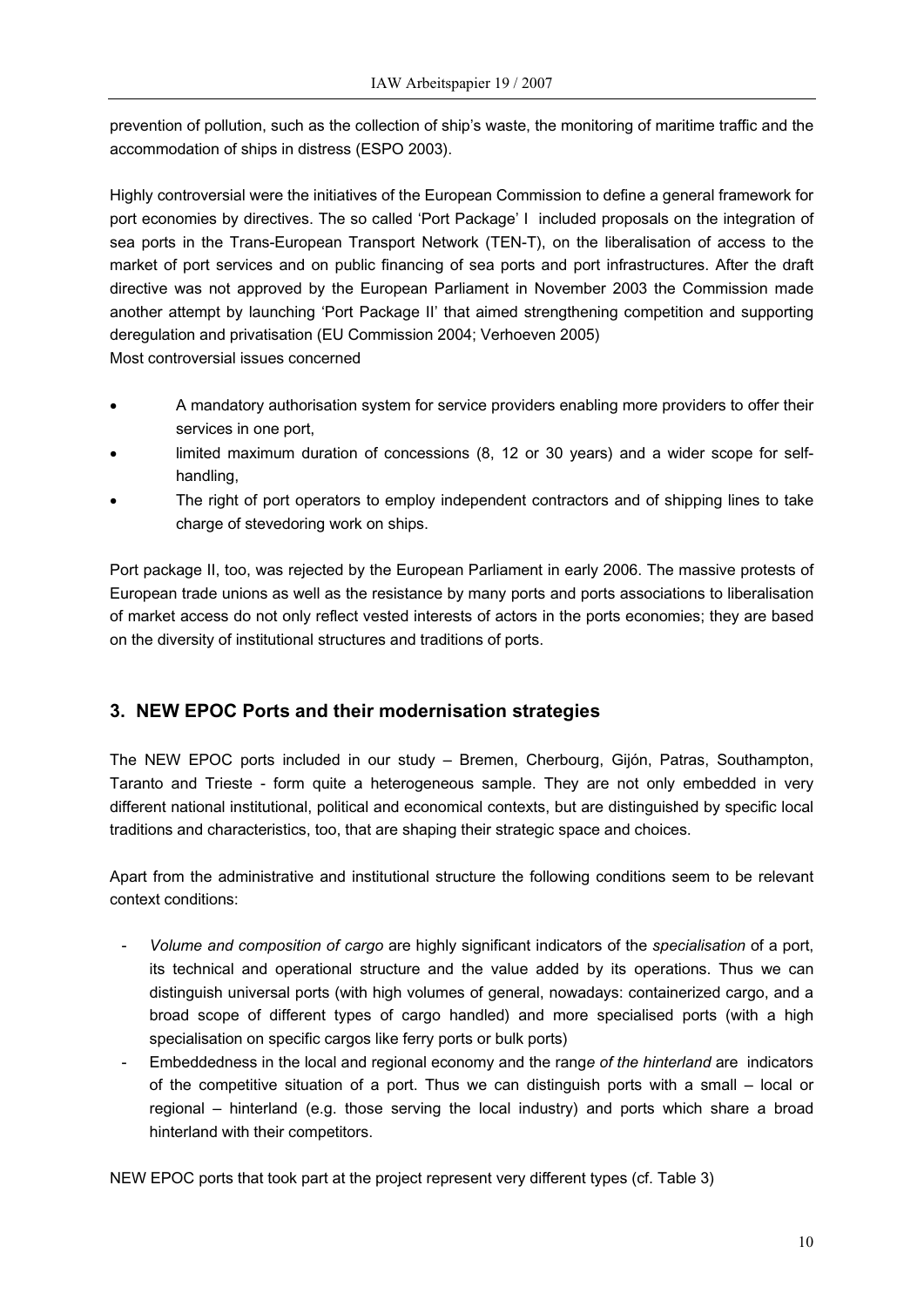prevention of pollution, such as the collection of ship's waste, the monitoring of maritime traffic and the accommodation of ships in distress (ESPO 2003).

Highly controversial were the initiatives of the European Commission to define a general framework for port economies by directives. The so called 'Port Package' I included proposals on the integration of sea ports in the Trans-European Transport Network (TEN-T), on the liberalisation of access to the market of port services and on public financing of sea ports and port infrastructures. After the draft directive was not approved by the European Parliament in November 2003 the Commission made another attempt by launching 'Port Package II' that aimed strengthening competition and supporting deregulation and privatisation (EU Commission 2004; Verhoeven 2005) Most controversial issues concerned

- A mandatory authorisation system for service providers enabling more providers to offer their services in one port,
- limited maximum duration of concessions (8, 12 or 30 years) and a wider scope for selfhandling,
- The right of port operators to employ independent contractors and of shipping lines to take charge of stevedoring work on ships.

Port package II, too, was rejected by the European Parliament in early 2006. The massive protests of European trade unions as well as the resistance by many ports and ports associations to liberalisation of market access do not only reflect vested interests of actors in the ports economies; they are based on the diversity of institutional structures and traditions of ports.

### **3. NEW EPOC Ports and their modernisation strategies**

The NEW EPOC ports included in our study – Bremen, Cherbourg, Gijón, Patras, Southampton, Taranto and Trieste - form quite a heterogeneous sample. They are not only embedded in very different national institutional, political and economical contexts, but are distinguished by specific local traditions and characteristics, too, that are shaping their strategic space and choices.

Apart from the administrative and institutional structure the following conditions seem to be relevant context conditions:

- *Volume and composition of cargo* are highly significant indicators of the *specialisation* of a port, its technical and operational structure and the value added by its operations. Thus we can distinguish universal ports (with high volumes of general, nowadays: containerized cargo, and a broad scope of different types of cargo handled) and more specialised ports (with a high specialisation on specific cargos like ferry ports or bulk ports)
- Embeddedness in the local and regional economy and the rang*e of the hinterland* are indicators of the competitive situation of a port. Thus we can distinguish ports with a small – local or regional – hinterland (e.g. those serving the local industry) and ports which share a broad hinterland with their competitors.

NEW EPOC ports that took part at the project represent very different types (cf. Table 3)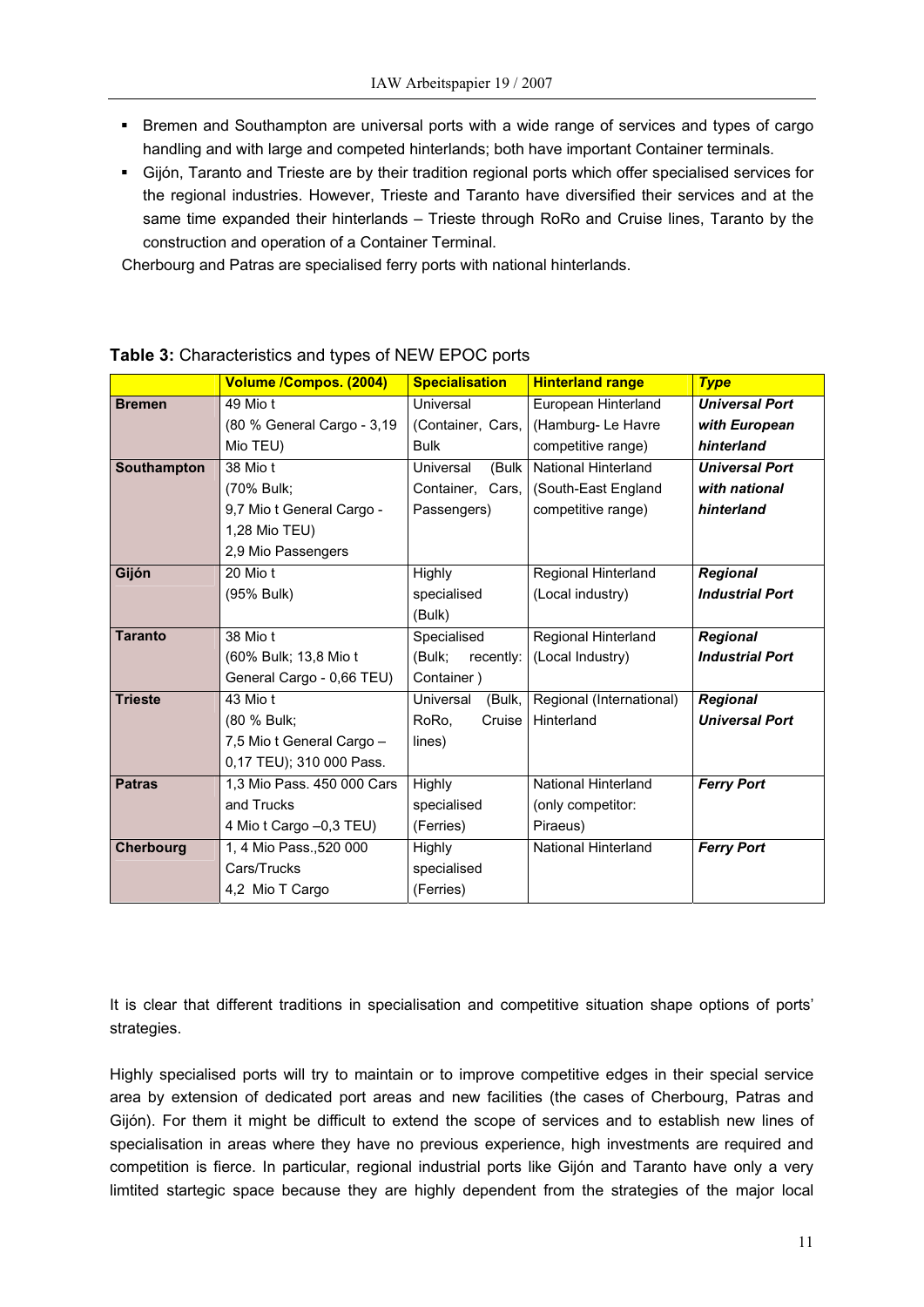- **Bremen and Southampton are universal ports with a wide range of services and types of cargo** handling and with large and competed hinterlands; both have important Container terminals.
- Gijón, Taranto and Trieste are by their tradition regional ports which offer specialised services for the regional industries. However, Trieste and Taranto have diversified their services and at the same time expanded their hinterlands – Trieste through RoRo and Cruise lines, Taranto by the construction and operation of a Container Terminal.

Cherbourg and Patras are specialised ferry ports with national hinterlands.

|                  | Volume /Compos. (2004)     | <b>Specialisation</b> | <b>Hinterland range</b>    | <b>Type</b>            |
|------------------|----------------------------|-----------------------|----------------------------|------------------------|
| <b>Bremen</b>    | 49 Mio t                   | Universal             | European Hinterland        | <b>Universal Port</b>  |
|                  | (80 % General Cargo - 3,19 | (Container, Cars,     | (Hamburg-Le Havre          | with European          |
|                  | Mio TEU)                   | <b>Bulk</b>           | competitive range)         | hinterland             |
| Southampton      | 38 Mio t                   | (Bulk<br>Universal    | <b>National Hinterland</b> | <b>Universal Port</b>  |
|                  | (70% Bulk;                 | Container, Cars,      | (South-East England        | with national          |
|                  | 9,7 Mio t General Cargo -  | Passengers)           | competitive range)         | hinterland             |
|                  | 1,28 Mio TEU)              |                       |                            |                        |
|                  | 2,9 Mio Passengers         |                       |                            |                        |
| Gijón            | 20 Mio t                   | Highly                | Regional Hinterland        | <b>Regional</b>        |
|                  | (95% Bulk)                 | specialised           | (Local industry)           | <b>Industrial Port</b> |
|                  |                            | (Bulk)                |                            |                        |
| <b>Taranto</b>   | 38 Mio t                   | Specialised           | Regional Hinterland        | <b>Regional</b>        |
|                  | (60% Bulk; 13,8 Mio t      | (Bulk;<br>recently:   | (Local Industry)           | <b>Industrial Port</b> |
|                  | General Cargo - 0,66 TEU)  | Container)            |                            |                        |
| <b>Trieste</b>   | 43 Mio t                   | Universal<br>(Bulk,   | Regional (International)   | <b>Regional</b>        |
|                  | (80 % Bulk;                | RoRo.<br>Cruise       | Hinterland                 | <b>Universal Port</b>  |
|                  | 7,5 Mio t General Cargo -  | lines)                |                            |                        |
|                  | 0,17 TEU); 310 000 Pass.   |                       |                            |                        |
| <b>Patras</b>    | 1,3 Mio Pass. 450 000 Cars | Highly                | National Hinterland        | <b>Ferry Port</b>      |
|                  | and Trucks                 | specialised           | (only competitor:          |                        |
|                  | 4 Mio t Cargo -0,3 TEU)    | (Ferries)             | Piraeus)                   |                        |
| <b>Cherbourg</b> | 1, 4 Mio Pass., 520 000    | <b>Highly</b>         | <b>National Hinterland</b> | <b>Ferry Port</b>      |
|                  | Cars/Trucks                | specialised           |                            |                        |
|                  | 4,2 Mio T Cargo            | (Ferries)             |                            |                        |

### **Table 3:** Characteristics and types of NEW EPOC ports

It is clear that different traditions in specialisation and competitive situation shape options of ports' strategies.

Highly specialised ports will try to maintain or to improve competitive edges in their special service area by extension of dedicated port areas and new facilities (the cases of Cherbourg, Patras and Gijón). For them it might be difficult to extend the scope of services and to establish new lines of specialisation in areas where they have no previous experience, high investments are required and competition is fierce. In particular, regional industrial ports like Gijón and Taranto have only a very limtited startegic space because they are highly dependent from the strategies of the major local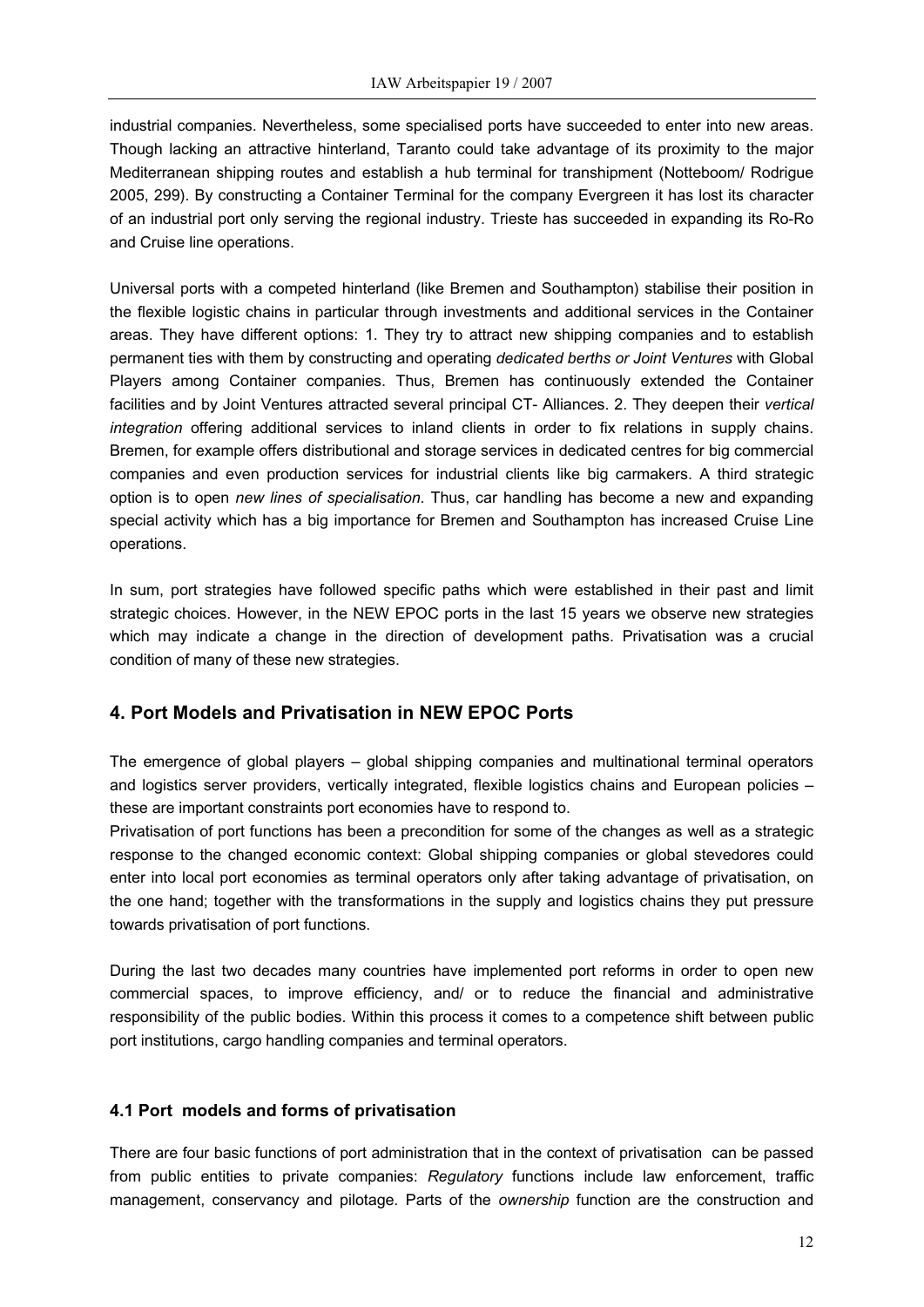industrial companies. Nevertheless, some specialised ports have succeeded to enter into new areas. Though lacking an attractive hinterland, Taranto could take advantage of its proximity to the major Mediterranean shipping routes and establish a hub terminal for transhipment (Notteboom/ Rodrigue 2005, 299). By constructing a Container Terminal for the company Evergreen it has lost its character of an industrial port only serving the regional industry. Trieste has succeeded in expanding its Ro-Ro and Cruise line operations.

Universal ports with a competed hinterland (like Bremen and Southampton) stabilise their position in the flexible logistic chains in particular through investments and additional services in the Container areas. They have different options: 1. They try to attract new shipping companies and to establish permanent ties with them by constructing and operating *dedicated berths or Joint Ventures* with Global Players among Container companies. Thus, Bremen has continuously extended the Container facilities and by Joint Ventures attracted several principal CT- Alliances. 2. They deepen their *vertical integration* offering additional services to inland clients in order to fix relations in supply chains. Bremen, for example offers distributional and storage services in dedicated centres for big commercial companies and even production services for industrial clients like big carmakers. A third strategic option is to open *new lines of specialisation*. Thus, car handling has become a new and expanding special activity which has a big importance for Bremen and Southampton has increased Cruise Line operations.

In sum, port strategies have followed specific paths which were established in their past and limit strategic choices. However, in the NEW EPOC ports in the last 15 years we observe new strategies which may indicate a change in the direction of development paths. Privatisation was a crucial condition of many of these new strategies.

### **4. Port Models and Privatisation in NEW EPOC Ports**

The emergence of global players – global shipping companies and multinational terminal operators and logistics server providers, vertically integrated, flexible logistics chains and European policies – these are important constraints port economies have to respond to.

Privatisation of port functions has been a precondition for some of the changes as well as a strategic response to the changed economic context: Global shipping companies or global stevedores could enter into local port economies as terminal operators only after taking advantage of privatisation, on the one hand; together with the transformations in the supply and logistics chains they put pressure towards privatisation of port functions.

During the last two decades many countries have implemented port reforms in order to open new commercial spaces, to improve efficiency, and/ or to reduce the financial and administrative responsibility of the public bodies. Within this process it comes to a competence shift between public port institutions, cargo handling companies and terminal operators.

### **4.1 Port models and forms of privatisation**

There are four basic functions of port administration that in the context of privatisation can be passed from public entities to private companies: *Regulatory* functions include law enforcement, traffic management, conservancy and pilotage. Parts of the *ownership* function are the construction and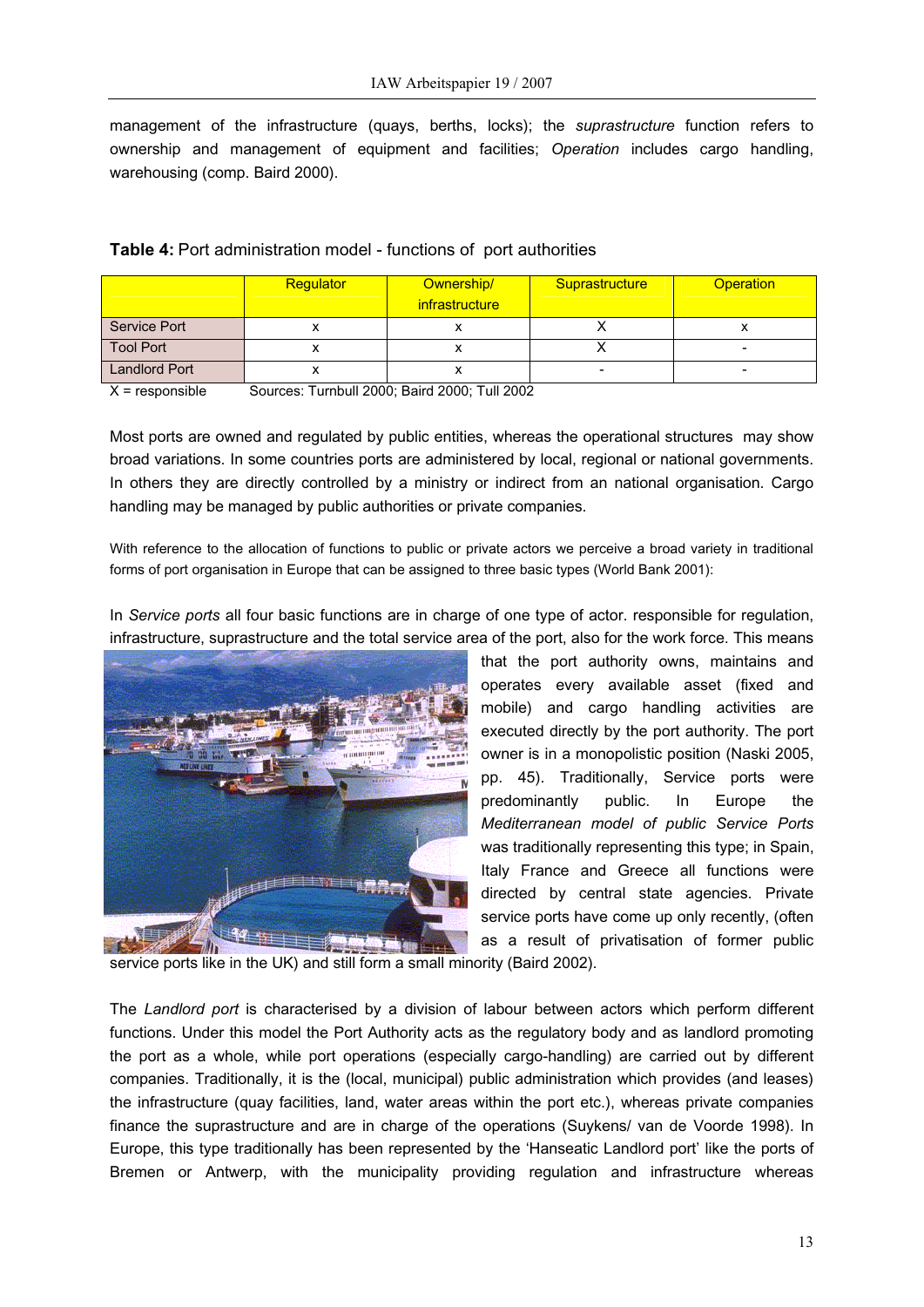management of the infrastructure (quays, berths, locks); the *suprastructure* function refers to ownership and management of equipment and facilities; *Operation* includes cargo handling, warehousing (comp. Baird 2000).

|                      | Regulator | Ownership/<br>infrastructure | Suprastructure           | <b>Operation</b> |
|----------------------|-----------|------------------------------|--------------------------|------------------|
| Service Port         |           |                              |                          |                  |
| <b>Tool Port</b>     |           |                              |                          | -                |
| <b>Landlord Port</b> |           |                              | $\overline{\phantom{0}}$ | -                |

| <b>Table 4: Port administration model - functions of port authorities</b> |  |
|---------------------------------------------------------------------------|--|
|                                                                           |  |

X = responsible Sources: Turnbull 2000; Baird 2000; Tull 2002

Most ports are owned and regulated by public entities, whereas the operational structures may show broad variations. In some countries ports are administered by local, regional or national governments. In others they are directly controlled by a ministry or indirect from an national organisation. Cargo handling may be managed by public authorities or private companies.

With reference to the allocation of functions to public or private actors we perceive a broad variety in traditional forms of port organisation in Europe that can be assigned to three basic types (World Bank 2001):

In *Service ports* all four basic functions are in charge of one type of actor. responsible for regulation, infrastructure, suprastructure and the total service area of the port, also for the work force. This means



that the port authority owns, maintains and operates every available asset (fixed and mobile) and cargo handling activities are executed directly by the port authority. The port owner is in a monopolistic position (Naski 2005, pp. 45). Traditionally, Service ports were predominantly public. In Europe the *Mediterranean model of public Service Ports* was traditionally representing this type; in Spain, Italy France and Greece all functions were directed by central state agencies. Private service ports have come up only recently, (often as a result of privatisation of former public

service ports like in the UK) and still form a small minority (Baird 2002).

The *Landlord port* is characterised by a division of labour between actors which perform different functions. Under this model the Port Authority acts as the regulatory body and as landlord promoting the port as a whole, while port operations (especially cargo-handling) are carried out by different companies. Traditionally, it is the (local, municipal) public administration which provides (and leases) the infrastructure (quay facilities, land, water areas within the port etc.), whereas private companies finance the suprastructure and are in charge of the operations (Suykens/ van de Voorde 1998). In Europe, this type traditionally has been represented by the 'Hanseatic Landlord port' like the ports of Bremen or Antwerp, with the municipality providing regulation and infrastructure whereas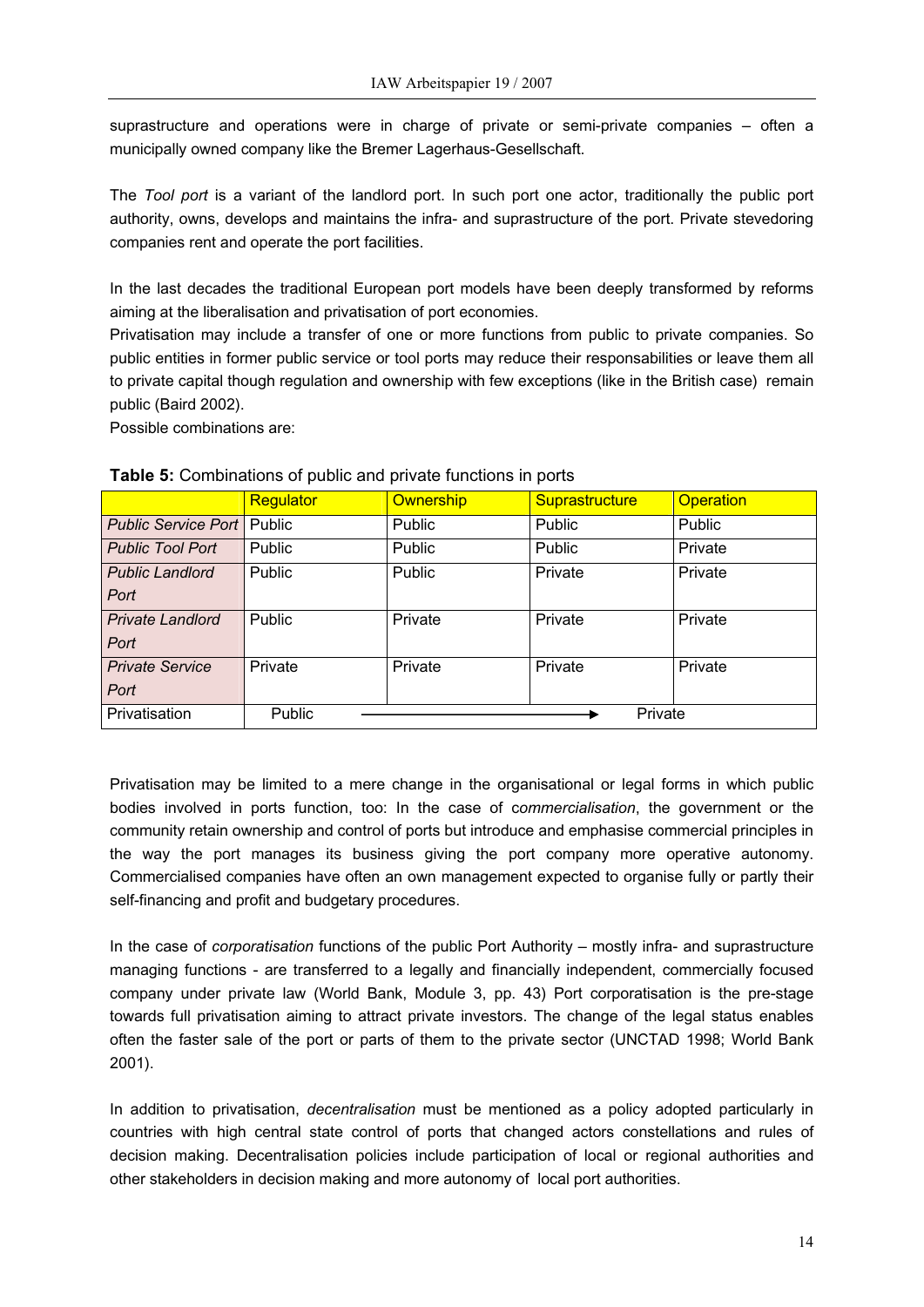suprastructure and operations were in charge of private or semi-private companies – often a municipally owned company like the Bremer Lagerhaus-Gesellschaft.

The *Tool port* is a variant of the landlord port. In such port one actor, traditionally the public port authority, owns, develops and maintains the infra- and suprastructure of the port. Private stevedoring companies rent and operate the port facilities.

In the last decades the traditional European port models have been deeply transformed by reforms aiming at the liberalisation and privatisation of port economies.

Privatisation may include a transfer of one or more functions from public to private companies. So public entities in former public service or tool ports may reduce their responsabilities or leave them all to private capital though regulation and ownership with few exceptions (like in the British case) remain public (Baird 2002).

Possible combinations are:

|                            | Regulator | <b>Ownership</b> | Suprastructure | <b>Operation</b> |
|----------------------------|-----------|------------------|----------------|------------------|
| <b>Public Service Port</b> | Public    | Public           | Public         | Public           |
| <b>Public Tool Port</b>    | Public    | Public           | Public         | Private          |
| <b>Public Landlord</b>     | Public    | Public           | Private        | Private          |
| Port                       |           |                  |                |                  |
| <b>Private Landlord</b>    | Public    | Private          | Private        | Private          |
| Port                       |           |                  |                |                  |
| <b>Private Service</b>     | Private   | Private          | Private        | Private          |
| Port                       |           |                  |                |                  |
| Privatisation              | Public    |                  | Private        |                  |

### **Table 5:** Combinations of public and private functions in ports

Privatisation may be limited to a mere change in the organisational or legal forms in which public bodies involved in ports function, too: In the case of c*ommercialisation*, the government or the community retain ownership and control of ports but introduce and emphasise commercial principles in the way the port manages its business giving the port company more operative autonomy. Commercialised companies have often an own management expected to organise fully or partly their self-financing and profit and budgetary procedures.

In the case of *corporatisation* functions of the public Port Authority – mostly infra- and suprastructure managing functions - are transferred to a legally and financially independent, commercially focused company under private law (World Bank, Module 3, pp. 43) Port corporatisation is the pre-stage towards full privatisation aiming to attract private investors. The change of the legal status enables often the faster sale of the port or parts of them to the private sector (UNCTAD 1998; World Bank 2001).

In addition to privatisation, *decentralisation* must be mentioned as a policy adopted particularly in countries with high central state control of ports that changed actors constellations and rules of decision making. Decentralisation policies include participation of local or regional authorities and other stakeholders in decision making and more autonomy of local port authorities.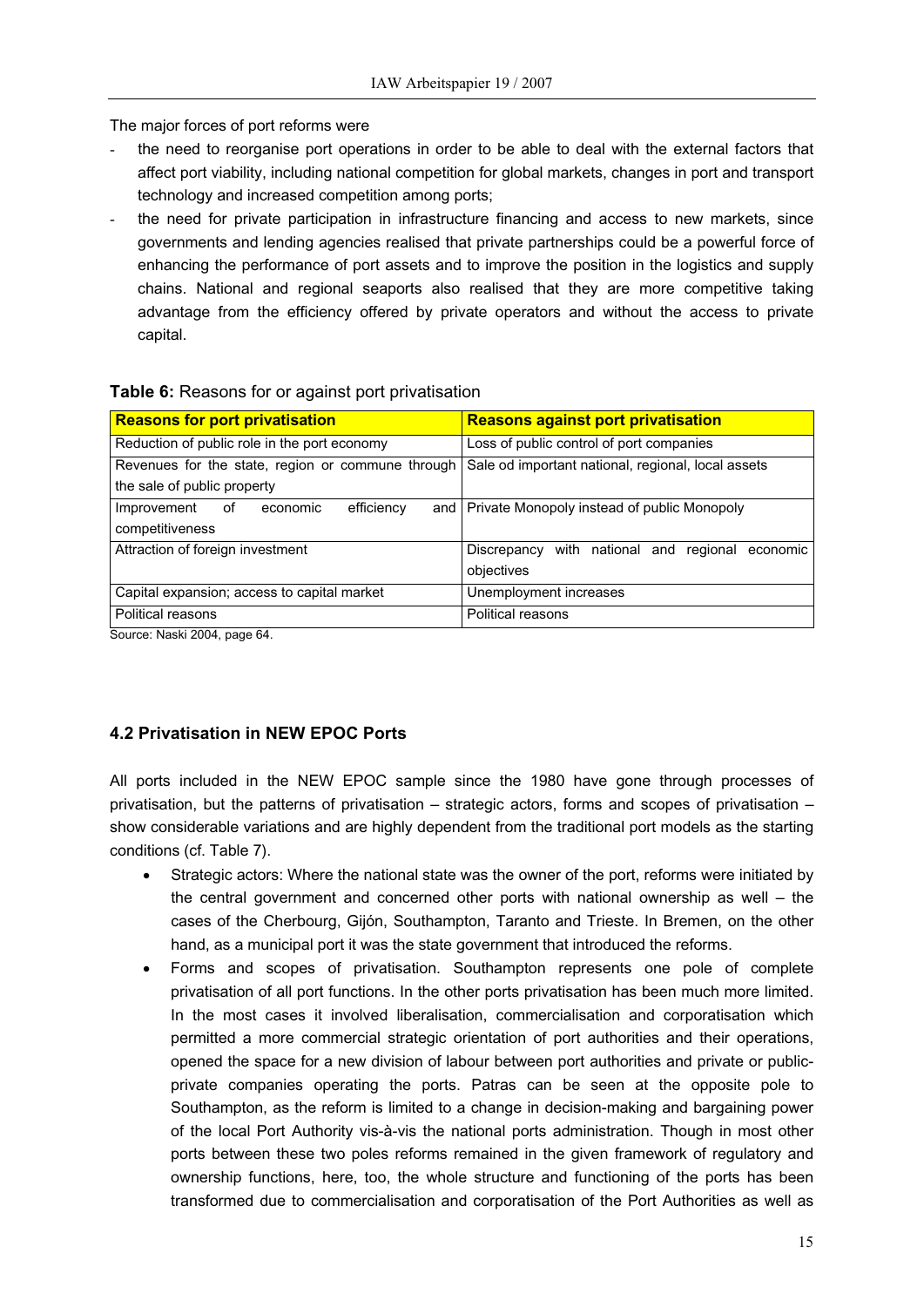The major forces of port reforms were

- the need to reorganise port operations in order to be able to deal with the external factors that affect port viability, including national competition for global markets, changes in port and transport technology and increased competition among ports;
- the need for private participation in infrastructure financing and access to new markets, since governments and lending agencies realised that private partnerships could be a powerful force of enhancing the performance of port assets and to improve the position in the logistics and supply chains. National and regional seaports also realised that they are more competitive taking advantage from the efficiency offered by private operators and without the access to private capital.

### **Table 6:** Reasons for or against port privatisation

| <b>Reasons for port privatisation</b>             | <b>Reasons against port privatisation</b>                |  |  |
|---------------------------------------------------|----------------------------------------------------------|--|--|
| Reduction of public role in the port economy      | Loss of public control of port companies                 |  |  |
| Revenues for the state, region or commune through | Sale od important national, regional, local assets       |  |  |
| the sale of public property                       |                                                          |  |  |
| efficiency<br>Improvement<br>economic<br>οf       | and   Private Monopoly instead of public Monopoly        |  |  |
| competitiveness                                   |                                                          |  |  |
| Attraction of foreign investment                  | with national and<br>Discrepancy<br>regional<br>economic |  |  |
|                                                   | objectives                                               |  |  |
| Capital expansion; access to capital market       | Unemployment increases                                   |  |  |
| <b>Political reasons</b>                          | <b>Political reasons</b>                                 |  |  |
| Source: Naski 2004. page 64.                      |                                                          |  |  |

## **4.2 Privatisation in NEW EPOC Ports**

All ports included in the NEW EPOC sample since the 1980 have gone through processes of privatisation, but the patterns of privatisation – strategic actors, forms and scopes of privatisation – show considerable variations and are highly dependent from the traditional port models as the starting conditions (cf. Table 7).

- Strategic actors: Where the national state was the owner of the port, reforms were initiated by the central government and concerned other ports with national ownership as well – the cases of the Cherbourg, Gijón, Southampton, Taranto and Trieste. In Bremen, on the other hand, as a municipal port it was the state government that introduced the reforms.
- Forms and scopes of privatisation. Southampton represents one pole of complete privatisation of all port functions. In the other ports privatisation has been much more limited. In the most cases it involved liberalisation, commercialisation and corporatisation which permitted a more commercial strategic orientation of port authorities and their operations, opened the space for a new division of labour between port authorities and private or publicprivate companies operating the ports. Patras can be seen at the opposite pole to Southampton, as the reform is limited to a change in decision-making and bargaining power of the local Port Authority vis-à-vis the national ports administration. Though in most other ports between these two poles reforms remained in the given framework of regulatory and ownership functions, here, too, the whole structure and functioning of the ports has been transformed due to commercialisation and corporatisation of the Port Authorities as well as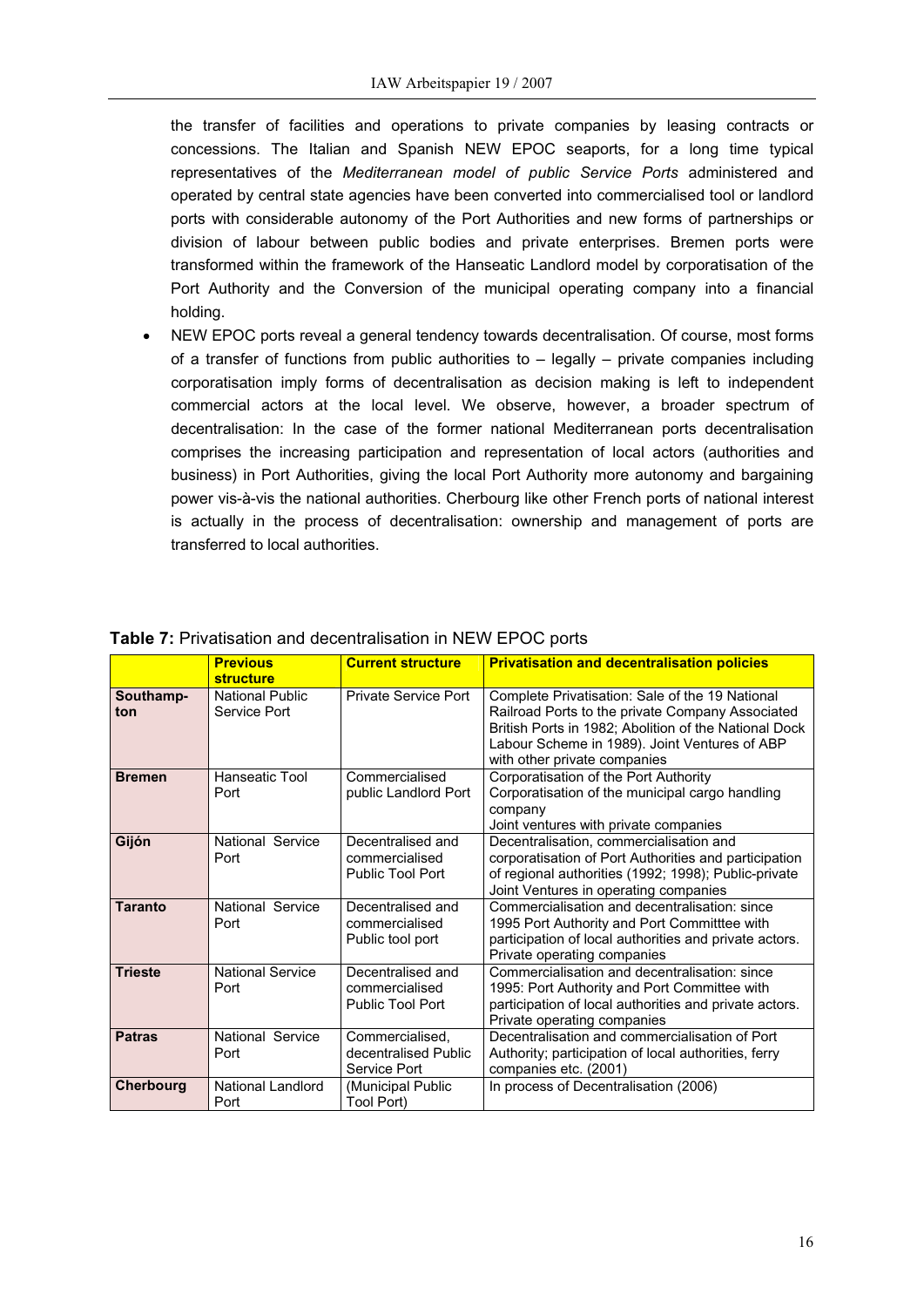the transfer of facilities and operations to private companies by leasing contracts or concessions. The Italian and Spanish NEW EPOC seaports, for a long time typical representatives of the *Mediterranean model of public Service Ports* administered and operated by central state agencies have been converted into commercialised tool or landlord ports with considerable autonomy of the Port Authorities and new forms of partnerships or division of labour between public bodies and private enterprises. Bremen ports were transformed within the framework of the Hanseatic Landlord model by corporatisation of the Port Authority and the Conversion of the municipal operating company into a financial holding.

• NEW EPOC ports reveal a general tendency towards decentralisation. Of course, most forms of a transfer of functions from public authorities to – legally – private companies including corporatisation imply forms of decentralisation as decision making is left to independent commercial actors at the local level. We observe, however, a broader spectrum of decentralisation: In the case of the former national Mediterranean ports decentralisation comprises the increasing participation and representation of local actors (authorities and business) in Port Authorities, giving the local Port Authority more autonomy and bargaining power vis-à-vis the national authorities. Cherbourg like other French ports of national interest is actually in the process of decentralisation: ownership and management of ports are transferred to local authorities.

|                  | <b>Previous</b><br><b>structure</b>    | <b>Current structure</b>                                | <b>Privatisation and decentralisation policies</b>                                                                                                                                                                                            |
|------------------|----------------------------------------|---------------------------------------------------------|-----------------------------------------------------------------------------------------------------------------------------------------------------------------------------------------------------------------------------------------------|
| Southamp-<br>ton | <b>National Public</b><br>Service Port | Private Service Port                                    | Complete Privatisation: Sale of the 19 National<br>Railroad Ports to the private Company Associated<br>British Ports in 1982; Abolition of the National Dock<br>Labour Scheme in 1989). Joint Ventures of ABP<br>with other private companies |
| <b>Bremen</b>    | Hanseatic Tool<br>Port                 | Commercialised<br>public Landlord Port                  | Corporatisation of the Port Authority<br>Corporatisation of the municipal cargo handling<br>company<br>Joint ventures with private companies                                                                                                  |
| Gijón            | National Service<br>Port               | Decentralised and<br>commercialised<br>Public Tool Port | Decentralisation, commercialisation and<br>corporatisation of Port Authorities and participation<br>of regional authorities (1992; 1998); Public-private<br>Joint Ventures in operating companies                                             |
| <b>Taranto</b>   | National Service<br>Port               | Decentralised and<br>commercialised<br>Public tool port | Commercialisation and decentralisation: since<br>1995 Port Authority and Port Committiee with<br>participation of local authorities and private actors.<br>Private operating companies                                                        |
| <b>Trieste</b>   | <b>National Service</b><br>Port        | Decentralised and<br>commercialised<br>Public Tool Port | Commercialisation and decentralisation: since<br>1995: Port Authority and Port Committee with<br>participation of local authorities and private actors.<br>Private operating companies                                                        |
| <b>Patras</b>    | National Service<br>Port               | Commercialised,<br>decentralised Public<br>Service Port | Decentralisation and commercialisation of Port<br>Authority; participation of local authorities, ferry<br>companies etc. (2001)                                                                                                               |
| <b>Cherbourg</b> | <b>National Landlord</b><br>Port       | (Municipal Public<br>Tool Port)                         | In process of Decentralisation (2006)                                                                                                                                                                                                         |

### **Table 7:** Privatisation and decentralisation in NEW EPOC ports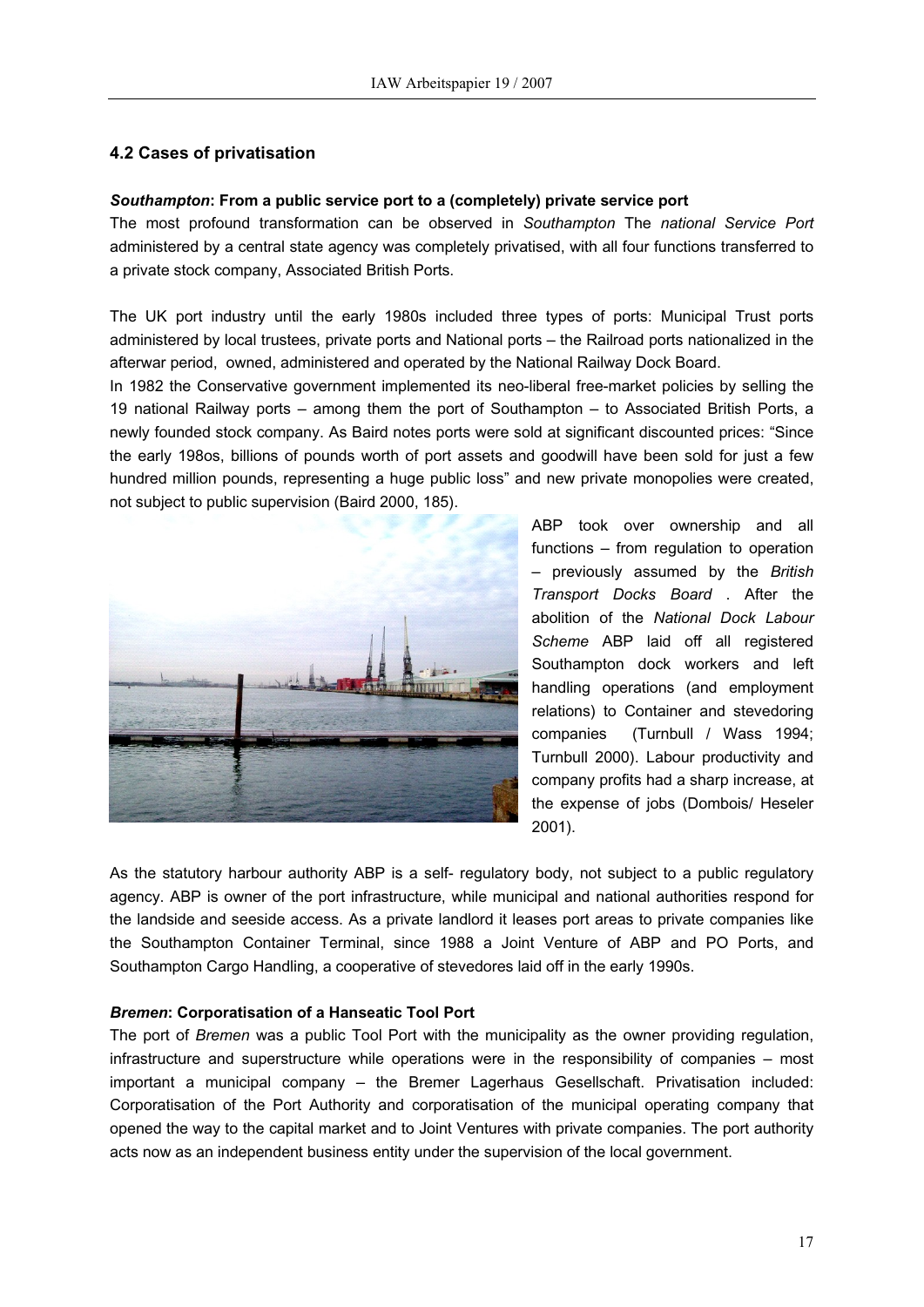### **4.2 Cases of privatisation**

### *Southampton***: From a public service port to a (completely) private service port**

The most profound transformation can be observed in *Southampton* The *national Service Port* administered by a central state agency was completely privatised, with all four functions transferred to a private stock company, Associated British Ports.

The UK port industry until the early 1980s included three types of ports: Municipal Trust ports administered by local trustees, private ports and National ports – the Railroad ports nationalized in the afterwar period, owned, administered and operated by the National Railway Dock Board.

In 1982 the Conservative government implemented its neo-liberal free-market policies by selling the 19 national Railway ports – among them the port of Southampton – to Associated British Ports, a newly founded stock company. As Baird notes ports were sold at significant discounted prices: "Since the early 198os, billions of pounds worth of port assets and goodwill have been sold for just a few hundred million pounds, representing a huge public loss" and new private monopolies were created, not subject to public supervision (Baird 2000, 185).



ABP took over ownership and all functions – from regulation to operation – previously assumed by the *British Transport Docks Board* . After the abolition of the *National Dock Labour Scheme* ABP laid off all registered Southampton dock workers and left handling operations (and employment relations) to Container and stevedoring companies (Turnbull / Wass 1994; Turnbull 2000). Labour productivity and company profits had a sharp increase, at the expense of jobs (Dombois/ Heseler 2001).

As the statutory harbour authority ABP is a self- regulatory body, not subject to a public regulatory agency. ABP is owner of the port infrastructure, while municipal and national authorities respond for the landside and seeside access. As a private landlord it leases port areas to private companies like the Southampton Container Terminal, since 1988 a Joint Venture of ABP and PO Ports, and Southampton Cargo Handling, a cooperative of stevedores laid off in the early 1990s.

### *Bremen***: Corporatisation of a Hanseatic Tool Port**

The port of *Bremen* was a public Tool Port with the municipality as the owner providing regulation, infrastructure and superstructure while operations were in the responsibility of companies – most important a municipal company – the Bremer Lagerhaus Gesellschaft. Privatisation included: Corporatisation of the Port Authority and corporatisation of the municipal operating company that opened the way to the capital market and to Joint Ventures with private companies. The port authority acts now as an independent business entity under the supervision of the local government.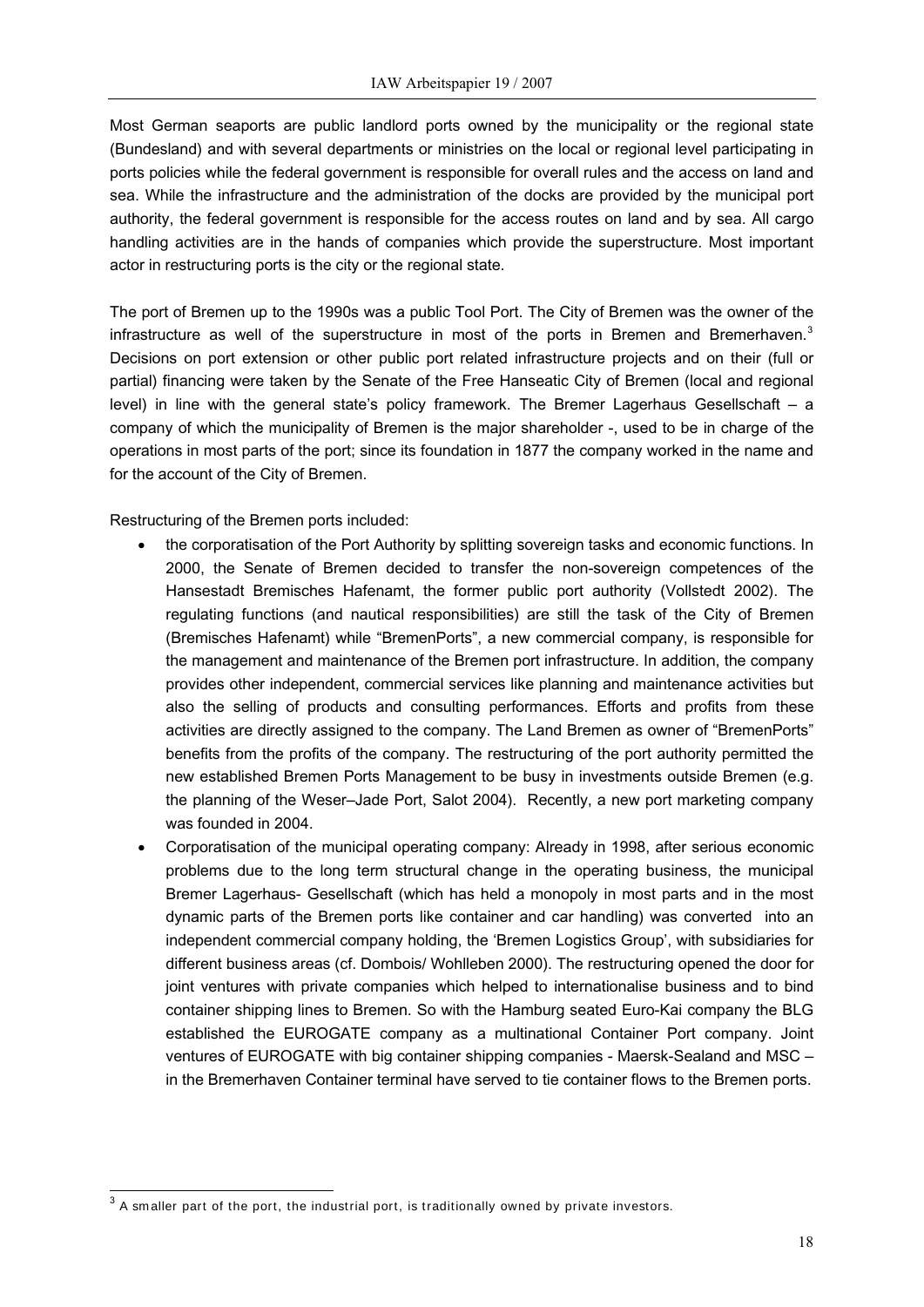Most German seaports are public landlord ports owned by the municipality or the regional state (Bundesland) and with several departments or ministries on the local or regional level participating in ports policies while the federal government is responsible for overall rules and the access on land and sea. While the infrastructure and the administration of the docks are provided by the municipal port authority, the federal government is responsible for the access routes on land and by sea. All cargo handling activities are in the hands of companies which provide the superstructure. Most important actor in restructuring ports is the city or the regional state.

The port of Bremen up to the 1990s was a public Tool Port. The City of Bremen was the owner of the infrastructure as well of the superstructure in most of the ports in Bremen and Bremerhaven. $3$ Decisions on port extension or other public port related infrastructure projects and on their (full or partial) financing were taken by the Senate of the Free Hanseatic City of Bremen (local and regional level) in line with the general state's policy framework. The Bremer Lagerhaus Gesellschaft – a company of which the municipality of Bremen is the major shareholder -, used to be in charge of the operations in most parts of the port; since its foundation in 1877 the company worked in the name and for the account of the City of Bremen.

Restructuring of the Bremen ports included:

- the corporatisation of the Port Authority by splitting sovereign tasks and economic functions. In 2000, the Senate of Bremen decided to transfer the non-sovereign competences of the Hansestadt Bremisches Hafenamt, the former public port authority (Vollstedt 2002). The regulating functions (and nautical responsibilities) are still the task of the City of Bremen (Bremisches Hafenamt) while "BremenPorts", a new commercial company, is responsible for the management and maintenance of the Bremen port infrastructure. In addition, the company provides other independent, commercial services like planning and maintenance activities but also the selling of products and consulting performances. Efforts and profits from these activities are directly assigned to the company. The Land Bremen as owner of "BremenPorts" benefits from the profits of the company. The restructuring of the port authority permitted the new established Bremen Ports Management to be busy in investments outside Bremen (e.g. the planning of the Weser–Jade Port, Salot 2004). Recently, a new port marketing company was founded in 2004.
- Corporatisation of the municipal operating company: Already in 1998, after serious economic problems due to the long term structural change in the operating business, the municipal Bremer Lagerhaus- Gesellschaft (which has held a monopoly in most parts and in the most dynamic parts of the Bremen ports like container and car handling) was converted into an independent commercial company holding, the 'Bremen Logistics Group', with subsidiaries for different business areas (cf. Dombois/ Wohlleben 2000). The restructuring opened the door for joint ventures with private companies which helped to internationalise business and to bind container shipping lines to Bremen. So with the Hamburg seated Euro-Kai company the BLG established the EUROGATE company as a multinational Container Port company. Joint ventures of EUROGATE with big container shipping companies - Maersk-Sealand and MSC – in the Bremerhaven Container terminal have served to tie container flows to the Bremen ports.

<span id="page-17-0"></span> $\frac{1}{3}$  A smaller part of the port, the industrial port, is traditionally owned by private investors.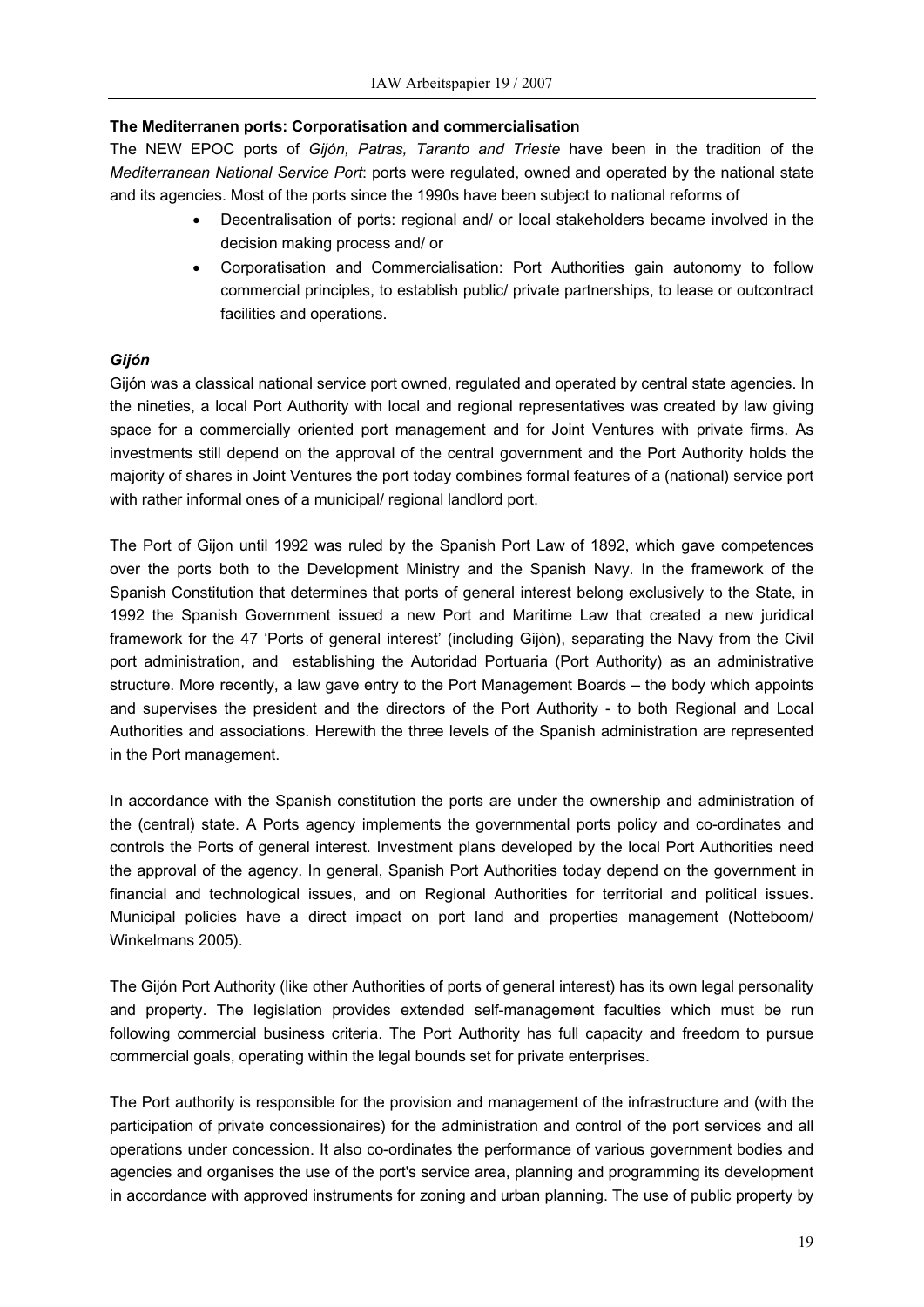### **The Mediterranen ports: Corporatisation and commercialisation**

The NEW EPOC ports of *Gijón, Patras, Taranto and Trieste* have been in the tradition of the *Mediterranean National Service Port*: ports were regulated, owned and operated by the national state and its agencies. Most of the ports since the 1990s have been subject to national reforms of

- Decentralisation of ports: regional and/ or local stakeholders became involved in the decision making process and/ or
- Corporatisation and Commercialisation: Port Authorities gain autonomy to follow commercial principles, to establish public/ private partnerships, to lease or outcontract facilities and operations.

### *Gijón*

Gijón was a classical national service port owned, regulated and operated by central state agencies. In the nineties, a local Port Authority with local and regional representatives was created by law giving space for a commercially oriented port management and for Joint Ventures with private firms. As investments still depend on the approval of the central government and the Port Authority holds the majority of shares in Joint Ventures the port today combines formal features of a (national) service port with rather informal ones of a municipal/ regional landlord port.

The Port of Gijon until 1992 was ruled by the Spanish Port Law of 1892, which gave competences over the ports both to the Development Ministry and the Spanish Navy. In the framework of the Spanish Constitution that determines that ports of general interest belong exclusively to the State, in 1992 the Spanish Government issued a new Port and Maritime Law that created a new juridical framework for the 47 'Ports of general interest' (including Gijòn), separating the Navy from the Civil port administration, and establishing the Autoridad Portuaria (Port Authority) as an administrative structure. More recently, a law gave entry to the Port Management Boards – the body which appoints and supervises the president and the directors of the Port Authority - to both Regional and Local Authorities and associations. Herewith the three levels of the Spanish administration are represented in the Port management.

In accordance with the Spanish constitution the ports are under the ownership and administration of the (central) state. A Ports agency implements the governmental ports policy and co-ordinates and controls the Ports of general interest. Investment plans developed by the local Port Authorities need the approval of the agency. In general, Spanish Port Authorities today depend on the government in financial and technological issues, and on Regional Authorities for territorial and political issues. Municipal policies have a direct impact on port land and properties management (Notteboom/ Winkelmans 2005).

The Gijón Port Authority (like other Authorities of ports of general interest) has its own legal personality and property. The legislation provides extended self-management faculties which must be run following commercial business criteria. The Port Authority has full capacity and freedom to pursue commercial goals, operating within the legal bounds set for private enterprises.

The Port authority is responsible for the provision and management of the infrastructure and (with the participation of private concessionaires) for the administration and control of the port services and all operations under concession. It also co-ordinates the performance of various government bodies and agencies and organises the use of the port's service area, planning and programming its development in accordance with approved instruments for zoning and urban planning. The use of public property by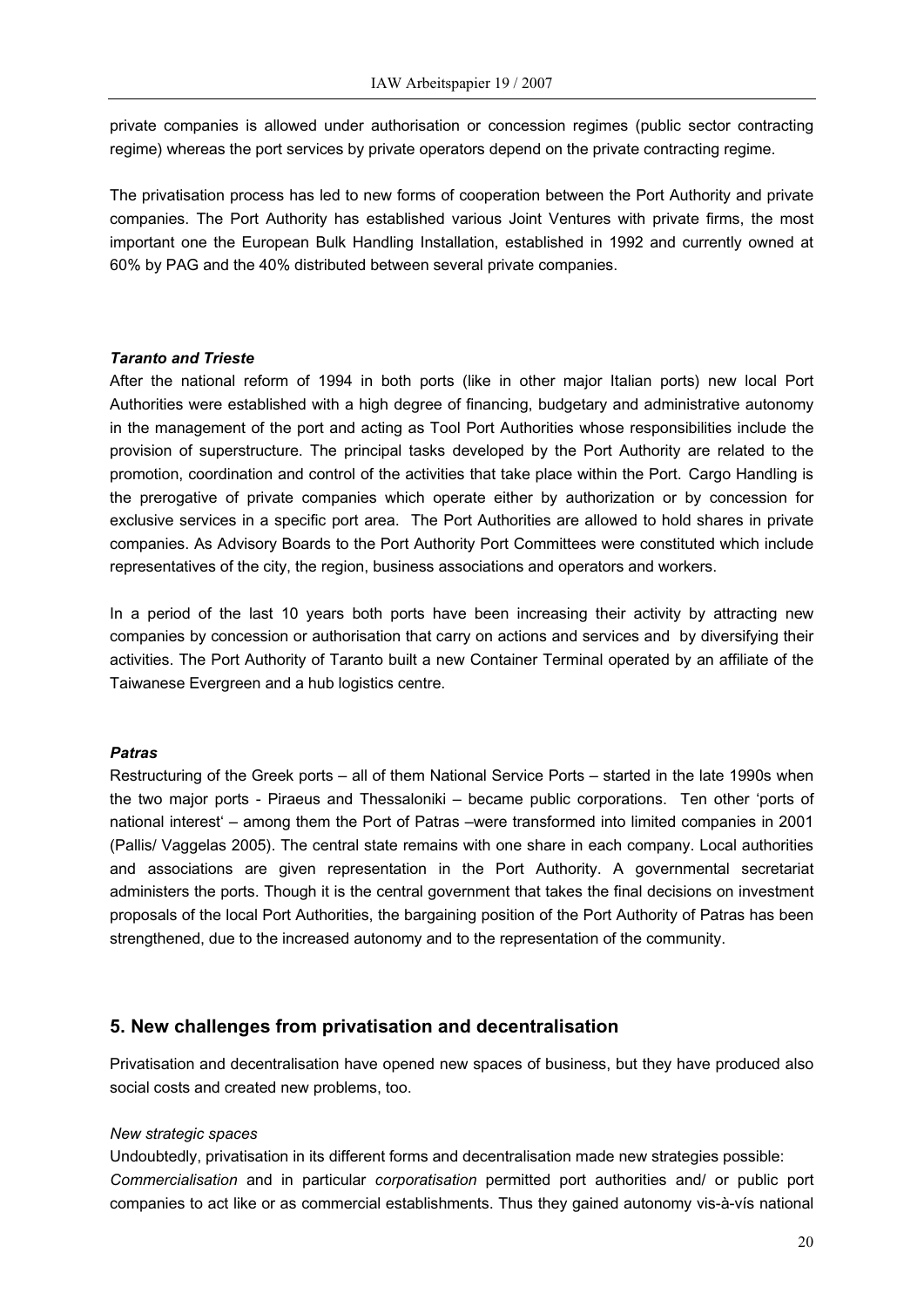private companies is allowed under authorisation or concession regimes (public sector contracting regime) whereas the port services by private operators depend on the private contracting regime.

The privatisation process has led to new forms of cooperation between the Port Authority and private companies. The Port Authority has established various Joint Ventures with private firms, the most important one the European Bulk Handling Installation, established in 1992 and currently owned at 60% by PAG and the 40% distributed between several private companies.

### *Taranto and Trieste*

After the national reform of 1994 in both ports (like in other major Italian ports) new local Port Authorities were established with a high degree of financing, budgetary and administrative autonomy in the management of the port and acting as Tool Port Authorities whose responsibilities include the provision of superstructure. The principal tasks developed by the Port Authority are related to the promotion, coordination and control of the activities that take place within the Port. Cargo Handling is the prerogative of private companies which operate either by authorization or by concession for exclusive services in a specific port area. The Port Authorities are allowed to hold shares in private companies. As Advisory Boards to the Port Authority Port Committees were constituted which include representatives of the city, the region, business associations and operators and workers.

In a period of the last 10 years both ports have been increasing their activity by attracting new companies by concession or authorisation that carry on actions and services and by diversifying their activities. The Port Authority of Taranto built a new Container Terminal operated by an affiliate of the Taiwanese Evergreen and a hub logistics centre.

### *Patras*

Restructuring of the Greek ports – all of them National Service Ports – started in the late 1990s when the two major ports - Piraeus and Thessaloniki – became public corporations. Ten other 'ports of national interest' – among them the Port of Patras –were transformed into limited companies in 2001 (Pallis/ Vaggelas 2005). The central state remains with one share in each company. Local authorities and associations are given representation in the Port Authority. A governmental secretariat administers the ports. Though it is the central government that takes the final decisions on investment proposals of the local Port Authorities, the bargaining position of the Port Authority of Patras has been strengthened, due to the increased autonomy and to the representation of the community.

### **5. New challenges from privatisation and decentralisation**

Privatisation and decentralisation have opened new spaces of business, but they have produced also social costs and created new problems, too.

#### *New strategic spaces*

Undoubtedly, privatisation in its different forms and decentralisation made new strategies possible: *Commercialisation* and in particular *corporatisation* permitted port authorities and/ or public port companies to act like or as commercial establishments. Thus they gained autonomy vis-à-vís national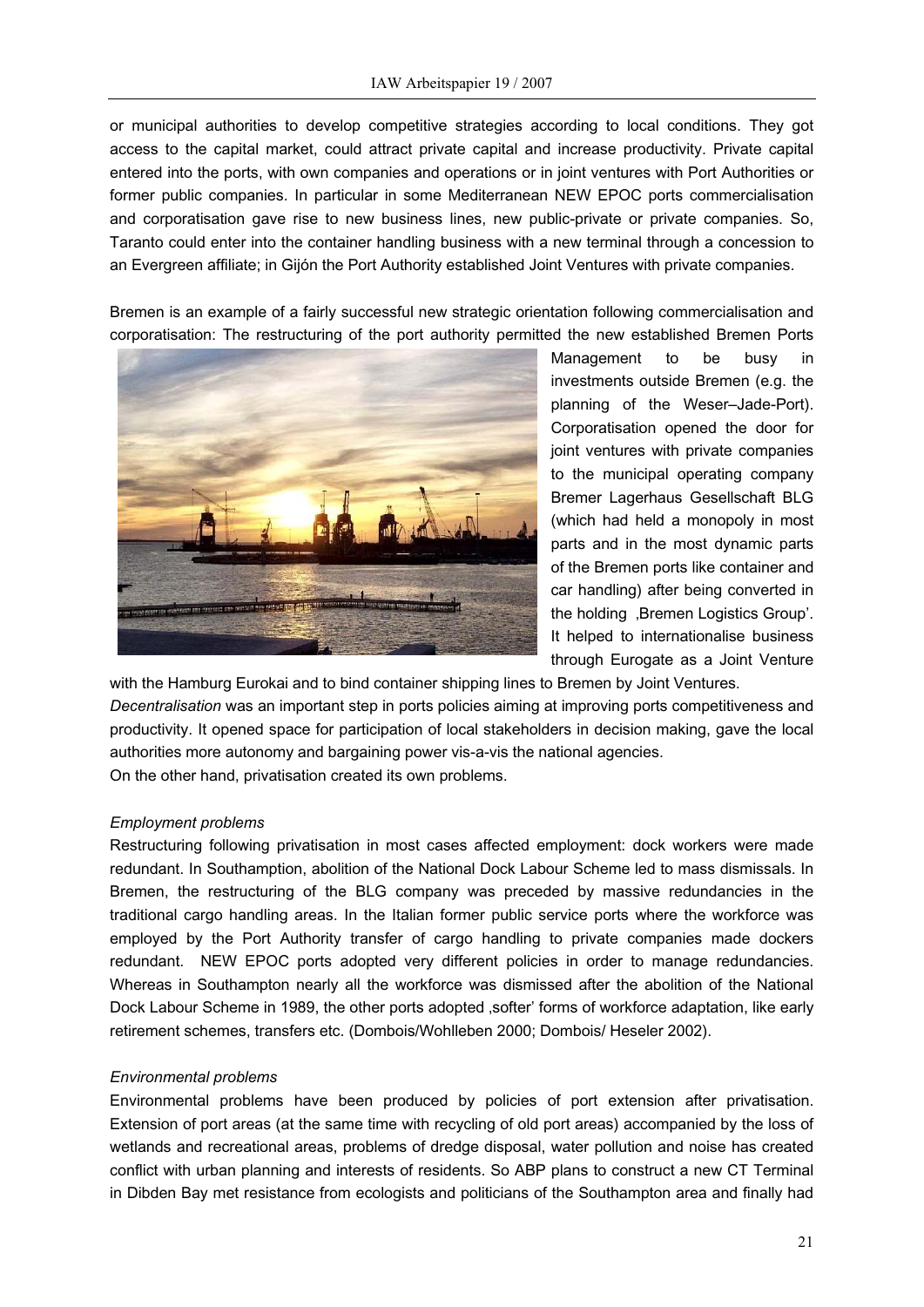or municipal authorities to develop competitive strategies according to local conditions. They got access to the capital market, could attract private capital and increase productivity. Private capital entered into the ports, with own companies and operations or in joint ventures with Port Authorities or former public companies. In particular in some Mediterranean NEW EPOC ports commercialisation and corporatisation gave rise to new business lines, new public-private or private companies. So, Taranto could enter into the container handling business with a new terminal through a concession to an Evergreen affiliate; in Gijón the Port Authority established Joint Ventures with private companies.

Bremen is an example of a fairly successful new strategic orientation following commercialisation and corporatisation: The restructuring of the port authority permitted the new established Bremen Ports



Management to be busy in investments outside Bremen (e.g. the planning of the Weser–Jade-Port). Corporatisation opened the door for joint ventures with private companies to the municipal operating company Bremer Lagerhaus Gesellschaft BLG (which had held a monopoly in most parts and in the most dynamic parts of the Bremen ports like container and car handling) after being converted in the holding .Bremen Logistics Group'. It helped to internationalise business through Eurogate as a Joint Venture

with the Hamburg Eurokai and to bind container shipping lines to Bremen by Joint Ventures. *Decentralisation* was an important step in ports policies aiming at improving ports competitiveness and productivity. It opened space for participation of local stakeholders in decision making, gave the local authorities more autonomy and bargaining power vis-a-vis the national agencies. On the other hand, privatisation created its own problems.

### *Employment problems*

Restructuring following privatisation in most cases affected employment: dock workers were made redundant. In Southamption, abolition of the National Dock Labour Scheme led to mass dismissals. In Bremen, the restructuring of the BLG company was preceded by massive redundancies in the traditional cargo handling areas. In the Italian former public service ports where the workforce was employed by the Port Authority transfer of cargo handling to private companies made dockers redundant. NEW EPOC ports adopted very different policies in order to manage redundancies. Whereas in Southampton nearly all the workforce was dismissed after the abolition of the National Dock Labour Scheme in 1989, the other ports adopted , softer' forms of workforce adaptation, like early retirement schemes, transfers etc. (Dombois/Wohlleben 2000; Dombois/ Heseler 2002).

#### *Environmental problems*

Environmental problems have been produced by policies of port extension after privatisation. Extension of port areas (at the same time with recycling of old port areas) accompanied by the loss of wetlands and recreational areas, problems of dredge disposal, water pollution and noise has created conflict with urban planning and interests of residents. So ABP plans to construct a new CT Terminal in Dibden Bay met resistance from ecologists and politicians of the Southampton area and finally had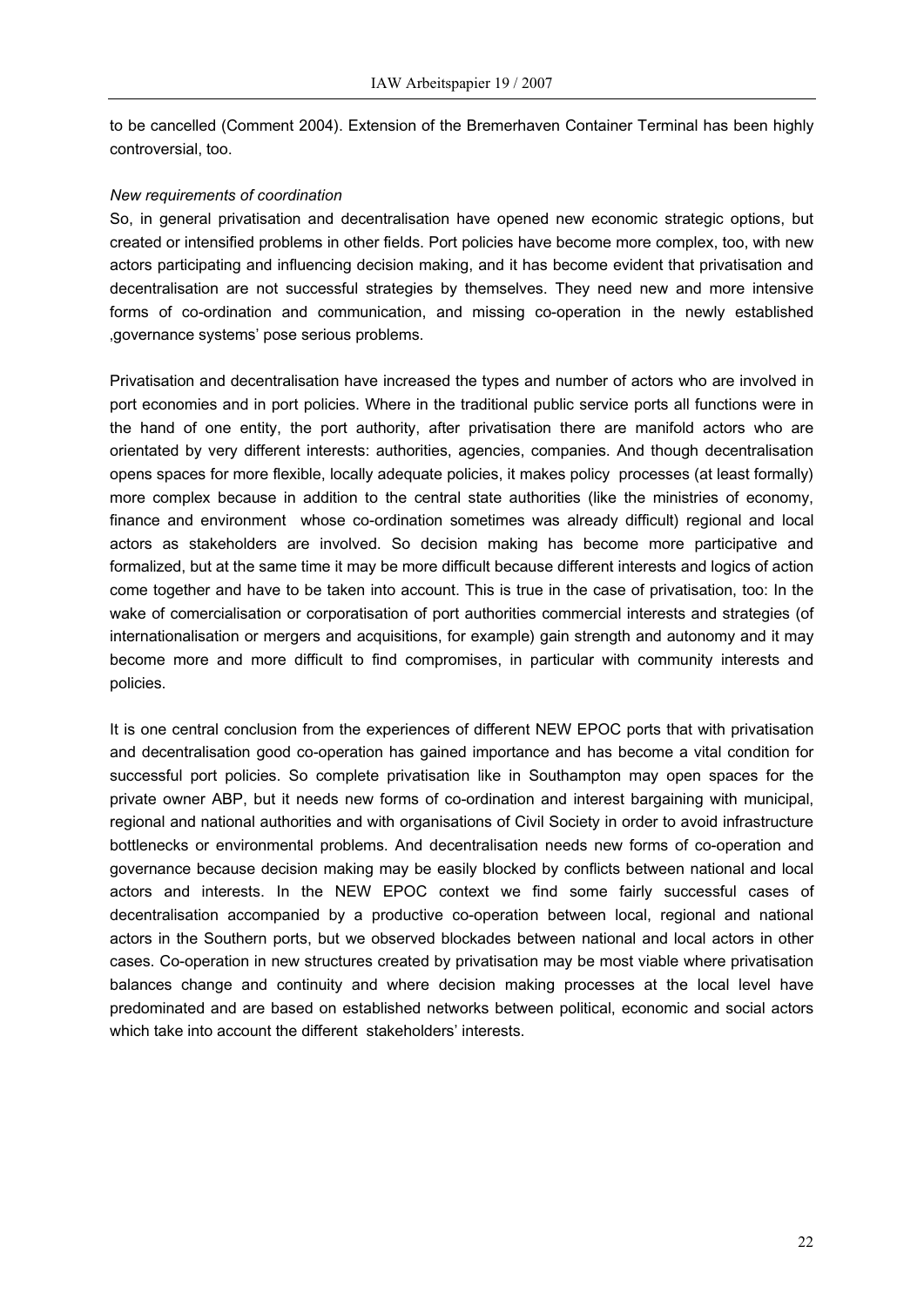to be cancelled (Comment 2004). Extension of the Bremerhaven Container Terminal has been highly controversial, too.

#### *New requirements of coordination*

So, in general privatisation and decentralisation have opened new economic strategic options, but created or intensified problems in other fields. Port policies have become more complex, too, with new actors participating and influencing decision making, and it has become evident that privatisation and decentralisation are not successful strategies by themselves. They need new and more intensive forms of co-ordination and communication, and missing co-operation in the newly established 'governance systems' pose serious problems.

Privatisation and decentralisation have increased the types and number of actors who are involved in port economies and in port policies. Where in the traditional public service ports all functions were in the hand of one entity, the port authority, after privatisation there are manifold actors who are orientated by very different interests: authorities, agencies, companies. And though decentralisation opens spaces for more flexible, locally adequate policies, it makes policy processes (at least formally) more complex because in addition to the central state authorities (like the ministries of economy, finance and environment whose co-ordination sometimes was already difficult) regional and local actors as stakeholders are involved. So decision making has become more participative and formalized, but at the same time it may be more difficult because different interests and logics of action come together and have to be taken into account. This is true in the case of privatisation, too: In the wake of comercialisation or corporatisation of port authorities commercial interests and strategies (of internationalisation or mergers and acquisitions, for example) gain strength and autonomy and it may become more and more difficult to find compromises, in particular with community interests and policies.

It is one central conclusion from the experiences of different NEW EPOC ports that with privatisation and decentralisation good co-operation has gained importance and has become a vital condition for successful port policies. So complete privatisation like in Southampton may open spaces for the private owner ABP, but it needs new forms of co-ordination and interest bargaining with municipal, regional and national authorities and with organisations of Civil Society in order to avoid infrastructure bottlenecks or environmental problems. And decentralisation needs new forms of co-operation and governance because decision making may be easily blocked by conflicts between national and local actors and interests. In the NEW EPOC context we find some fairly successful cases of decentralisation accompanied by a productive co-operation between local, regional and national actors in the Southern ports, but we observed blockades between national and local actors in other cases. Co-operation in new structures created by privatisation may be most viable where privatisation balances change and continuity and where decision making processes at the local level have predominated and are based on established networks between political, economic and social actors which take into account the different stakeholders' interests.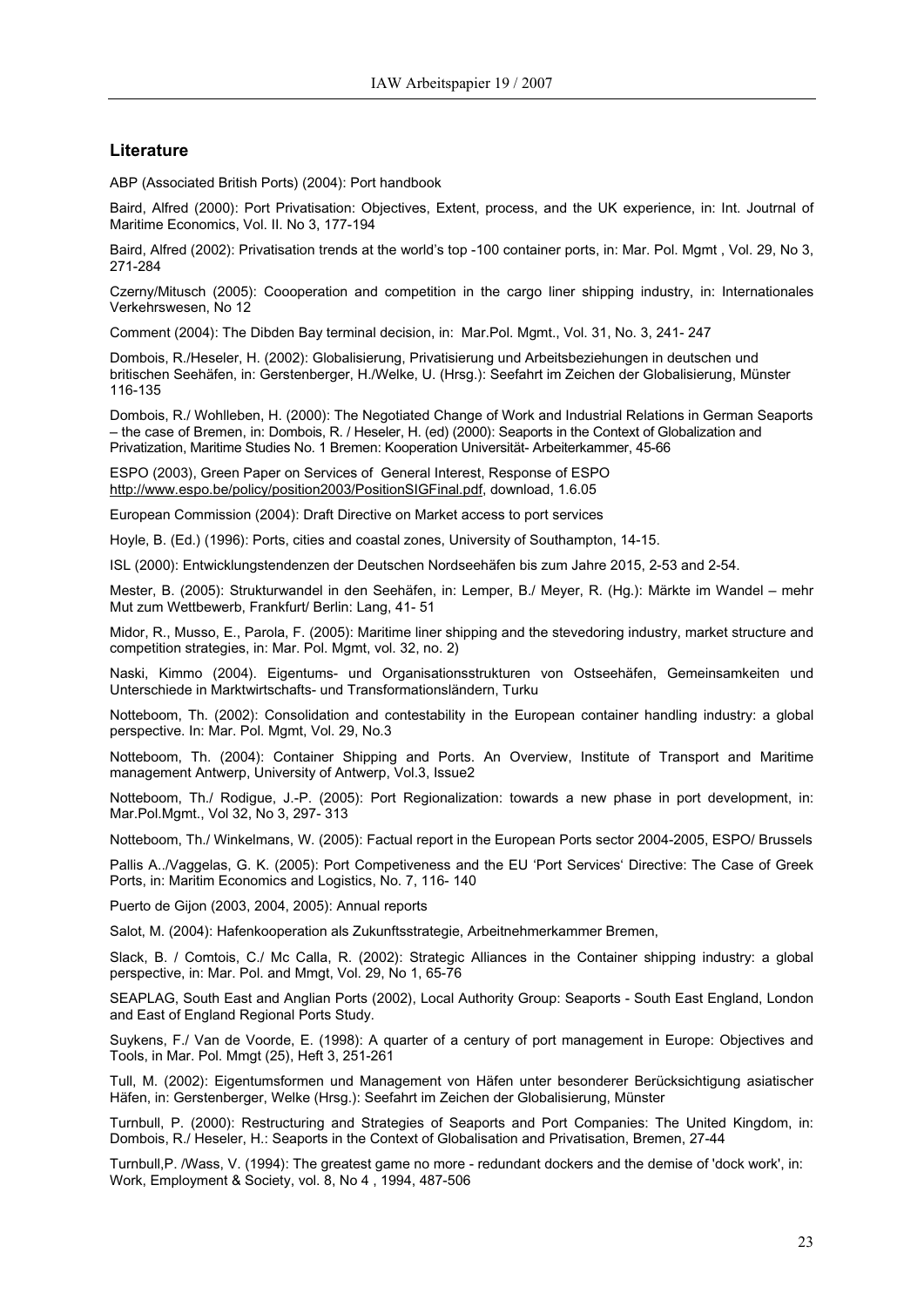#### **Literature**

ABP (Associated British Ports) (2004): Port handbook

Baird, Alfred (2000): Port Privatisation: Objectives, Extent, process, and the UK experience, in: Int. Joutrnal of Maritime Economics, Vol. II. No 3, 177-194

Baird, Alfred (2002): Privatisation trends at the world's top -100 container ports, in: Mar. Pol. Mgmt , Vol. 29, No 3, 271-284

Czerny/Mitusch (2005): Coooperation and competition in the cargo liner shipping industry, in: Internationales Verkehrswesen, No 12

Comment (2004): The Dibden Bay terminal decision, in: Mar.Pol. Mgmt., Vol. 31, No. 3, 241- 247

Dombois, R./Heseler, H. (2002): Globalisierung, Privatisierung und Arbeitsbeziehungen in deutschen und britischen Seehäfen, in: Gerstenberger, H./Welke, U. (Hrsg.): Seefahrt im Zeichen der Globalisierung, Münster 116-135

Dombois, R./ Wohlleben, H. (2000): The Negotiated Change of Work and Industrial Relations in German Seaports – the case of Bremen, in: Dombois, R. / Heseler, H. (ed) (2000): Seaports in the Context of Globalization and Privatization, Maritime Studies No. 1 Bremen: Kooperation Universität- Arbeiterkammer, 45-66

ESPO (2003), Green Paper on Services of General Interest, Response of ESPO <http://www.espo.be/policy/position2003/PositionSIGFinal.pdf>, download, 1.6.05

European Commission (2004): Draft Directive on Market access to port services

Hoyle, B. (Ed.) (1996): Ports, cities and coastal zones, University of Southampton, 14-15.

ISL (2000): Entwicklungstendenzen der Deutschen Nordseehäfen bis zum Jahre 2015, 2-53 and 2-54.

Mester, B. (2005): Strukturwandel in den Seehäfen, in: Lemper, B./ Meyer, R. (Hg.): Märkte im Wandel – mehr Mut zum Wettbewerb, Frankfurt/ Berlin: Lang, 41- 51

Midor, R., Musso, E., Parola, F. (2005): Maritime liner shipping and the stevedoring industry, market structure and competition strategies, in: Mar. Pol. Mgmt, vol. 32, no. 2)

Naski, Kimmo (2004). Eigentums- und Organisationsstrukturen von Ostseehäfen, Gemeinsamkeiten und Unterschiede in Marktwirtschafts- und Transformationsländern, Turku

Notteboom, Th. (2002): Consolidation and contestability in the European container handling industry: a global perspective. In: Mar. Pol. Mgmt, Vol. 29, No.3

Notteboom, Th. (2004): Container Shipping and Ports. An Overview, Institute of Transport and Maritime management Antwerp, University of Antwerp, Vol.3, Issue2

Notteboom, Th./ Rodigue, J.-P. (2005): Port Regionalization: towards a new phase in port development, in: Mar.Pol.Mgmt., Vol 32, No 3, 297- 313

Notteboom, Th./ Winkelmans, W. (2005): Factual report in the European Ports sector 2004-2005, ESPO/ Brussels

Pallis A../Vaggelas, G. K. (2005): Port Competiveness and the EU 'Port Services' Directive: The Case of Greek Ports, in: Maritim Economics and Logistics, No. 7, 116- 140

Puerto de Gijon (2003, 2004, 2005): Annual reports

Salot, M. (2004): Hafenkooperation als Zukunftsstrategie, Arbeitnehmerkammer Bremen,

Slack, B. / Comtois, C./ Mc Calla, R. (2002): Strategic Alliances in the Container shipping industry: a global perspective, in: Mar. Pol. and Mmgt, Vol. 29, No 1, 65-76

SEAPLAG, South East and Anglian Ports (2002), Local Authority Group: Seaports - South East England, London and East of England Regional Ports Study.

Suykens, F./ Van de Voorde, E. (1998): A quarter of a century of port management in Europe: Objectives and Tools, in Mar. Pol. Mmgt (25), Heft 3, 251-261

Tull, M. (2002): Eigentumsformen und Management von Häfen unter besonderer Berücksichtigung asiatischer Häfen, in: Gerstenberger, Welke (Hrsg.): Seefahrt im Zeichen der Globalisierung, Münster

Turnbull, P. (2000): Restructuring and Strategies of Seaports and Port Companies: The United Kingdom, in: Dombois, R./ Heseler, H.: Seaports in the Context of Globalisation and Privatisation, Bremen, 27-44

Turnbull,P. /Wass, V. (1994): The greatest game no more - redundant dockers and the demise of 'dock work', in: Work, Employment & Society, vol. 8, No 4 , 1994, 487-506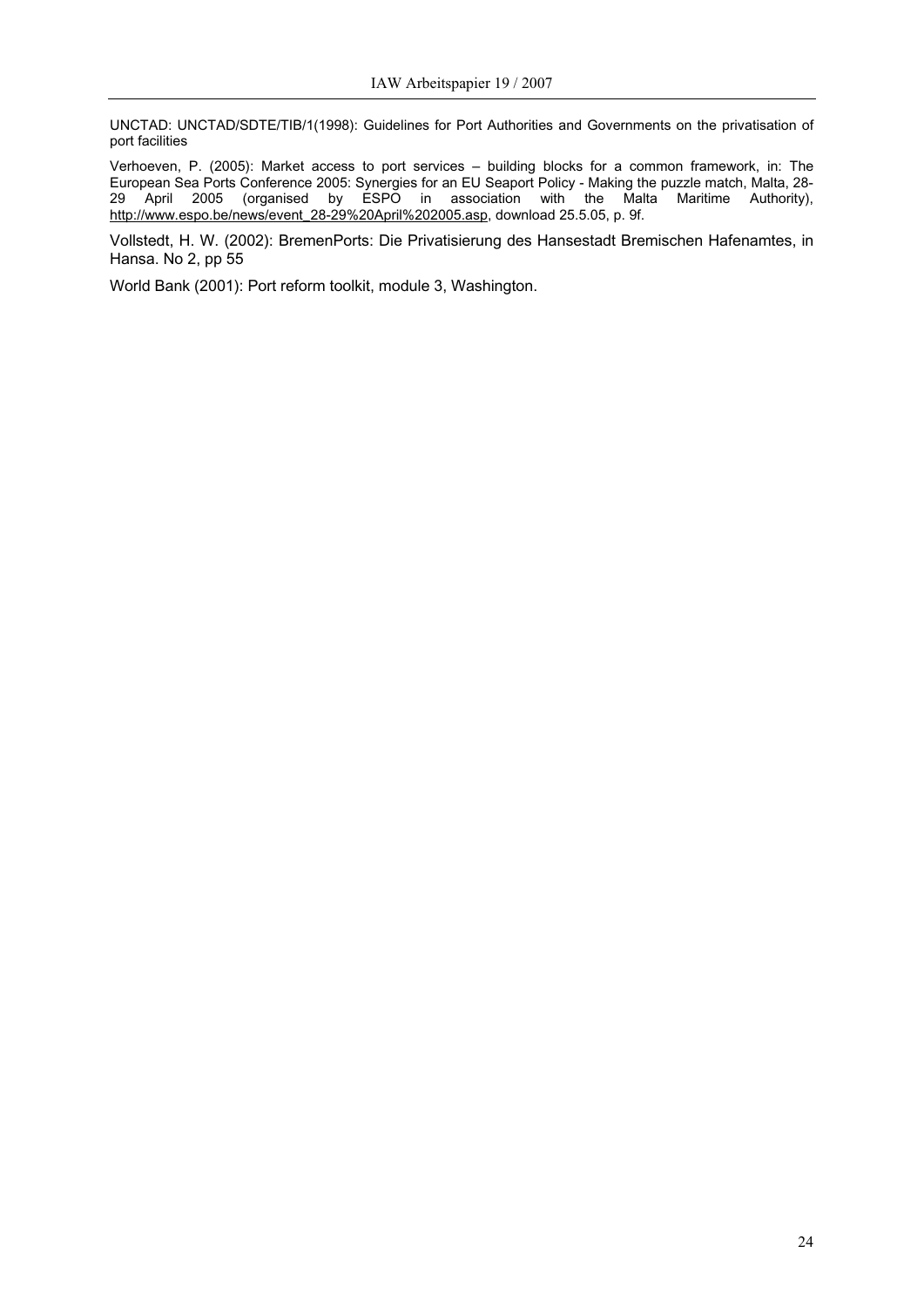UNCTAD: UNCTAD/SDTE/TIB/1(1998): Guidelines for Port Authorities and Governments on the privatisation of port facilities

Verhoeven, P. (2005): Market access to port services – building blocks for a common framework, in: The European Sea Ports Conference 2005: Synergies for an EU Seaport Policy - Making the puzzle match, Malta, 28- 29 April 2005 (organised by ESPO in association with the Malta Maritime Authority), [http://www.espo.be/news/event\\_28-29%20April%202005.asp](http://www.espo.be/news/event_28-29%20April%202005.asp), download 25.5.05, p. 9f.

Vollstedt, H. W. (2002): BremenPorts: Die Privatisierung des Hansestadt Bremischen Hafenamtes, in Hansa. No 2, pp 55

World Bank (2001): Port reform toolkit, module 3, Washington.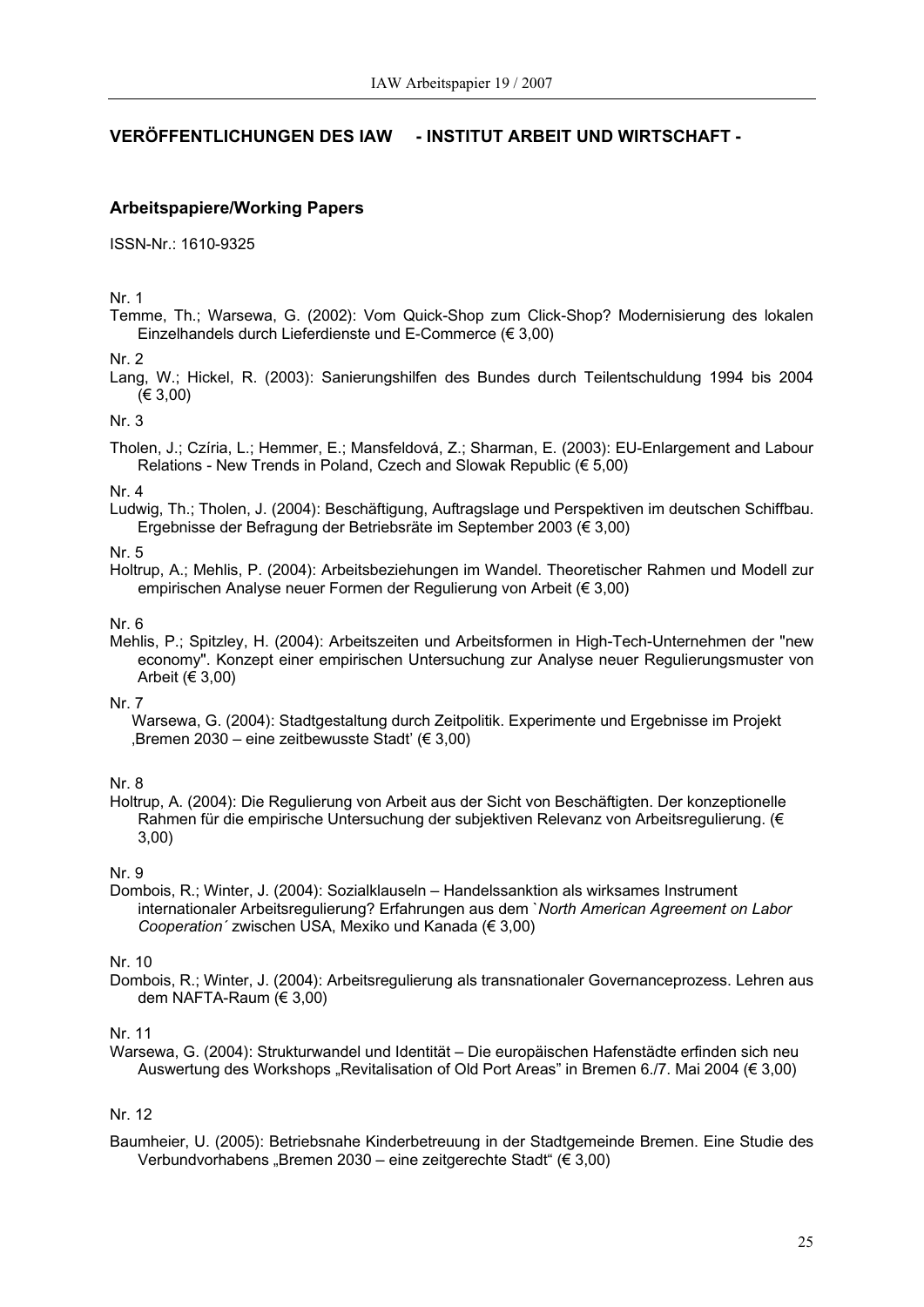### **VERÖFFENTLICHUNGEN DES IAW - INSTITUT ARBEIT UND WIRTSCHAFT -**

### **Arbeitspapiere/Working Papers**

ISSN-Nr.: 1610-9325

Nr. 1

Temme, Th.; Warsewa, G. (2002): Vom Quick-Shop zum Click-Shop? Modernisierung des lokalen Einzelhandels durch Lieferdienste und E-Commerce (€ 3,00)

Nr. 2

Lang, W.; Hickel, R. (2003): Sanierungshilfen des Bundes durch Teilentschuldung 1994 bis 2004 (€ 3,00)

Nr. 3

Tholen, J.; Czíria, L.; Hemmer, E.; Mansfeldová, Z.; Sharman, E. (2003): EU-Enlargement and Labour Relations - New Trends in Poland, Czech and Slowak Republic (€ 5,00)

#### Nr. 4

Ludwig, Th.; Tholen, J. (2004): Beschäftigung, Auftragslage und Perspektiven im deutschen Schiffbau. Ergebnisse der Befragung der Betriebsräte im September 2003 (€ 3,00)

### Nr. 5

Holtrup, A.; Mehlis, P. (2004): Arbeitsbeziehungen im Wandel. Theoretischer Rahmen und Modell zur empirischen Analyse neuer Formen der Regulierung von Arbeit (€ 3,00)

#### Nr. 6

Mehlis, P.; Spitzley, H. (2004): Arbeitszeiten und Arbeitsformen in High-Tech-Unternehmen der "new economy". Konzept einer empirischen Untersuchung zur Analyse neuer Regulierungsmuster von Arbeit ( $\in$  3,00)

### Nr. 7

Warsewa, G. (2004): Stadtgestaltung durch Zeitpolitik. Experimente und Ergebnisse im Projekt Bremen 2030 – eine zeitbewusste Stadt' ( $\in$  3,00)

#### Nr. 8

Holtrup, A. (2004): Die Regulierung von Arbeit aus der Sicht von Beschäftigten. Der konzeptionelle Rahmen für die empirische Untersuchung der subjektiven Relevanz von Arbeitsregulierung. (€ 3,00)

Nr. 9

Dombois, R.; Winter, J. (2004): Sozialklauseln – Handelssanktion als wirksames Instrument internationaler Arbeitsregulierung? Erfahrungen aus dem `*North American Agreement on Labor Cooperation´* zwischen USA, Mexiko und Kanada (€ 3,00)

#### Nr. 10

Dombois, R.; Winter, J. (2004): Arbeitsregulierung als transnationaler Governanceprozess. Lehren aus dem NAFTA-Raum (€ 3,00)

### Nr. 11

Warsewa, G. (2004): Strukturwandel und Identität – Die europäischen Hafenstädte erfinden sich neu Auswertung des Workshops "Revitalisation of Old Port Areas" in Bremen 6./7. Mai 2004 (€ 3,00)

### Nr. 12

Baumheier, U. (2005): Betriebsnahe Kinderbetreuung in der Stadtgemeinde Bremen. Eine Studie des Verbundvorhabens "Bremen 2030 – eine zeitgerechte Stadt" (€ 3,00)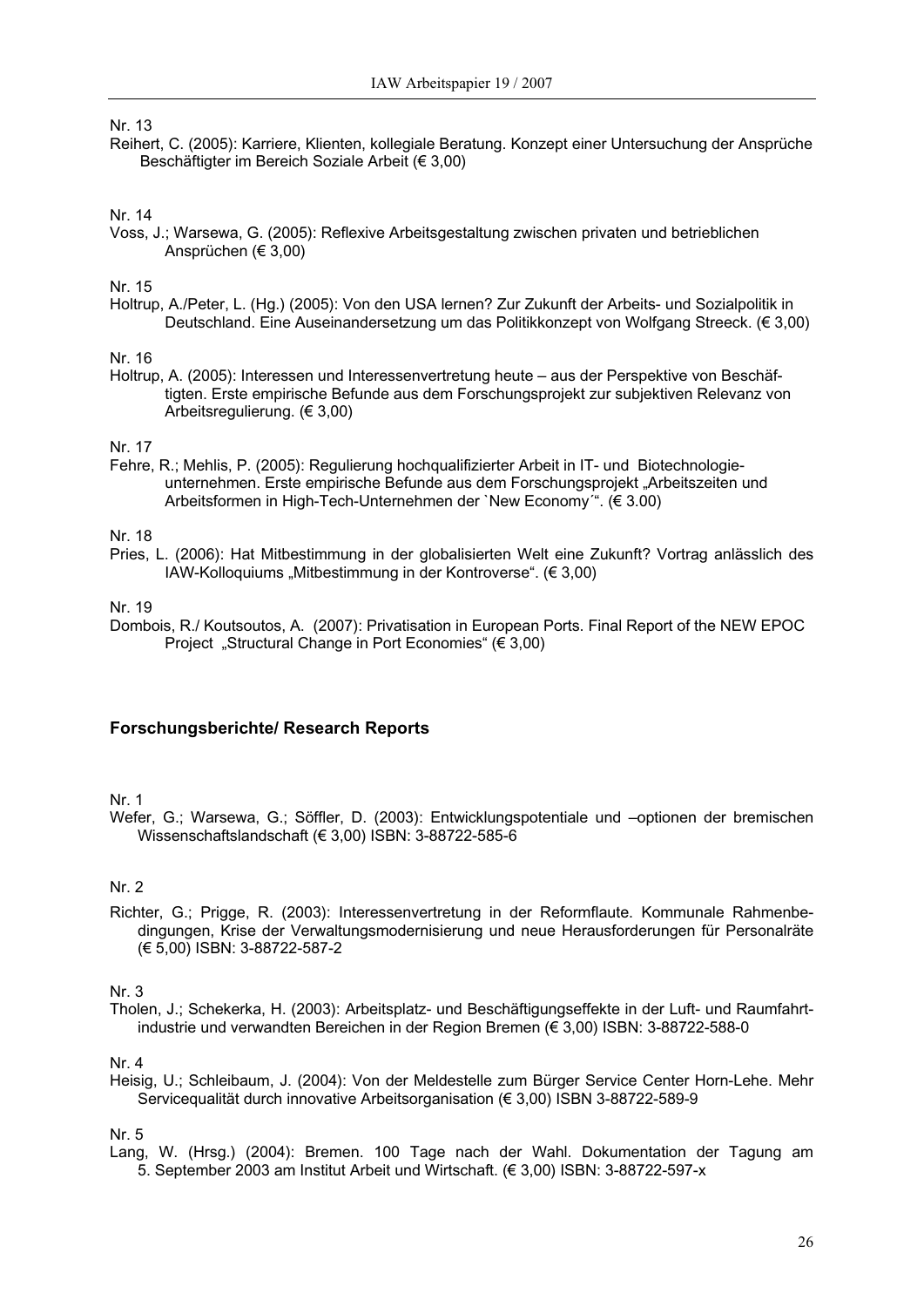### Nr. 13

Reihert, C. (2005): Karriere, Klienten, kollegiale Beratung. Konzept einer Untersuchung der Ansprüche Beschäftigter im Bereich Soziale Arbeit (€ 3,00)

### Nr. 14

Voss, J.; Warsewa, G. (2005): Reflexive Arbeitsgestaltung zwischen privaten und betrieblichen Ansprüchen (€ 3,00)

#### Nr. 15

Holtrup, A./Peter, L. (Hg.) (2005): Von den USA lernen? Zur Zukunft der Arbeits- und Sozialpolitik in Deutschland. Eine Auseinandersetzung um das Politikkonzept von Wolfgang Streeck. (€ 3,00)

### Nr. 16

Holtrup, A. (2005): Interessen und Interessenvertretung heute – aus der Perspektive von Beschäftigten. Erste empirische Befunde aus dem Forschungsprojekt zur subjektiven Relevanz von Arbeitsregulierung. (€ 3,00)

### Nr. 17

Fehre, R.; Mehlis, P. (2005): Regulierung hochqualifizierter Arbeit in IT- und Biotechnologieunternehmen. Erste empirische Befunde aus dem Forschungsprojekt "Arbeitszeiten und Arbeitsformen in High-Tech-Unternehmen der `New Economy´". (€ 3.00)

### Nr. 18

Pries, L. (2006): Hat Mitbestimmung in der globalisierten Welt eine Zukunft? Vortrag anlässlich des IAW-Kolloquiums "Mitbestimmung in der Kontroverse". (€ 3,00)

### Nr. 19

Dombois, R./ Koutsoutos, A. (2007): Privatisation in European Ports. Final Report of the NEW EPOC Project "Structural Change in Port Economies" (€ 3,00)

### **Forschungsberichte/ Research Reports**

#### Nr. 1

Wefer, G.; Warsewa, G.; Söffler, D. (2003): Entwicklungspotentiale und –optionen der bremischen Wissenschaftslandschaft (€ 3,00) ISBN: 3-88722-585-6

### Nr. 2

Richter, G.; Prigge, R. (2003): Interessenvertretung in der Reformflaute. Kommunale Rahmenbedingungen, Krise der Verwaltungsmodernisierung und neue Herausforderungen für Personalräte (€ 5,00) ISBN: 3-88722-587-2

#### Nr. 3

Tholen, J.; Schekerka, H. (2003): Arbeitsplatz- und Beschäftigungseffekte in der Luft- und Raumfahrtindustrie und verwandten Bereichen in der Region Bremen (€ 3,00) ISBN: 3-88722-588-0

#### Nr. 4

Heisig, U.; Schleibaum, J. (2004): Von der Meldestelle zum Bürger Service Center Horn-Lehe. Mehr Servicequalität durch innovative Arbeitsorganisation (€ 3,00) ISBN 3-88722-589-9

#### Nr. 5

Lang, W. (Hrsg.) (2004): Bremen. 100 Tage nach der Wahl. Dokumentation der Tagung am 5. September 2003 am Institut Arbeit und Wirtschaft. (€ 3,00) ISBN: 3-88722-597-x